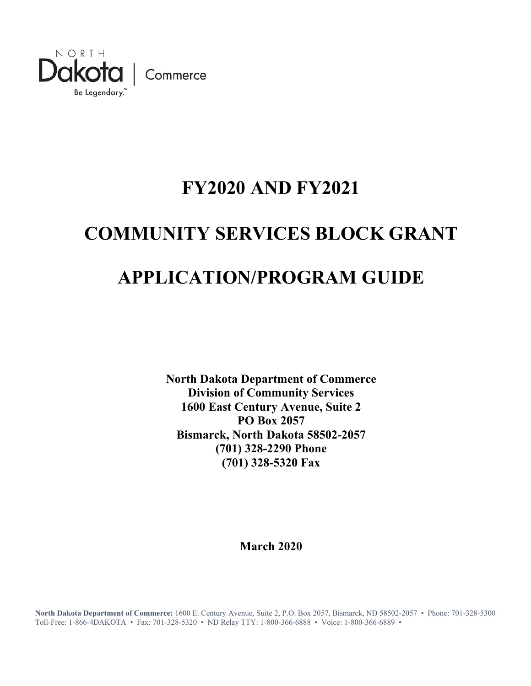

# **FY2020 AND FY2021**

# **COMMUNITY SERVICES BLOCK GRANT**

# **APPLICATION/PROGRAM GUIDE**

**North Dakota Department of Commerce Division of Community Services 1600 East Century Avenue, Suite 2 PO Box 2057 Bismarck, North Dakota 58502-2057 (701) 328-2290 Phone (701) 328-5320 Fax** 

**March 2020** 

**North Dakota Department of Commerce:** 1600 E. Century Avenue, Suite 2, P.O. Box 2057, Bismarck, ND 58502-2057 • Phone: 701-328-5300 Toll-Free: 1-866-4DAKOTA • Fax: 701-328-5320 • ND Relay TTY: 1-800-366-6888 • Voice: 1-800-366-6889 •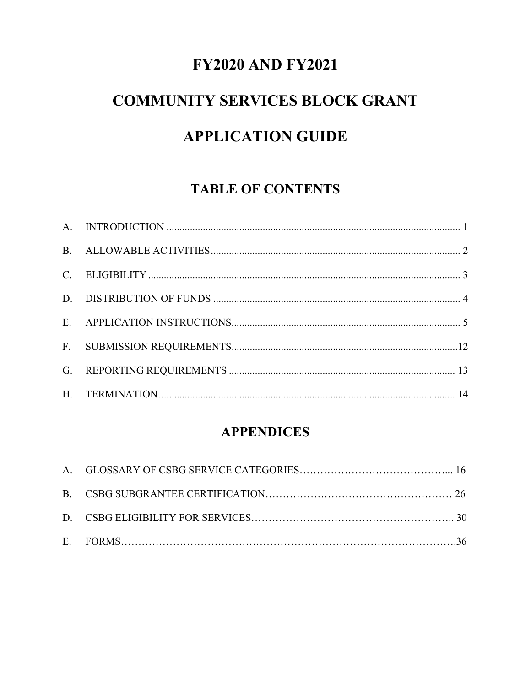# **FY2020 AND FY2021**

# **COMMUNITY SERVICES BLOCK GRANT APPLICATION GUIDE**

## **TABLE OF CONTENTS**

## **APPENDICES**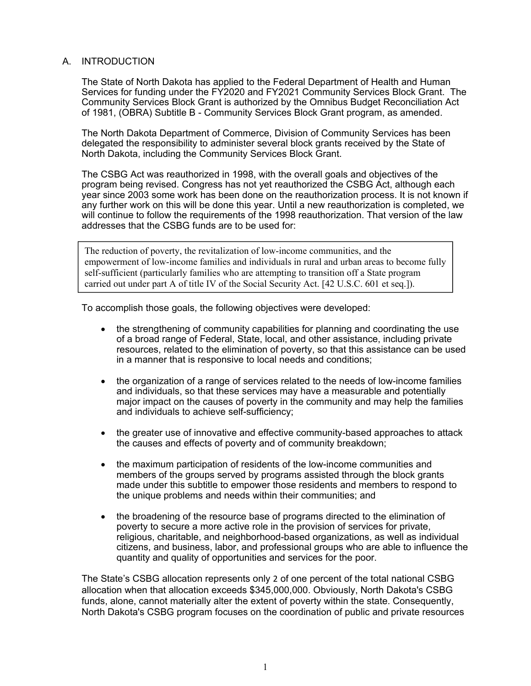## A. INTRODUCTION

The State of North Dakota has applied to the Federal Department of Health and Human Services for funding under the FY2020 and FY2021 Community Services Block Grant. The Community Services Block Grant is authorized by the Omnibus Budget Reconciliation Act of 1981, (OBRA) Subtitle B - Community Services Block Grant program, as amended.

The North Dakota Department of Commerce, Division of Community Services has been delegated the responsibility to administer several block grants received by the State of North Dakota, including the Community Services Block Grant.

The CSBG Act was reauthorized in 1998, with the overall goals and objectives of the program being revised. Congress has not yet reauthorized the CSBG Act, although each year since 2003 some work has been done on the reauthorization process. It is not known if any further work on this will be done this year. Until a new reauthorization is completed, we will continue to follow the requirements of the 1998 reauthorization. That version of the law addresses that the CSBG funds are to be used for:

The reduction of poverty, the revitalization of low-income communities, and the empowerment of low-income families and individuals in rural and urban areas to become fully self-sufficient (particularly families who are attempting to transition off a State program carried out under part A of title IV of the Social Security Act. [42 U.S.C. 601 et seq.]).

To accomplish those goals, the following objectives were developed:

- the strengthening of community capabilities for planning and coordinating the use of a broad range of Federal, State, local, and other assistance, including private resources, related to the elimination of poverty, so that this assistance can be used in a manner that is responsive to local needs and conditions;
- the organization of a range of services related to the needs of low-income families and individuals, so that these services may have a measurable and potentially major impact on the causes of poverty in the community and may help the families and individuals to achieve self-sufficiency;
- the greater use of innovative and effective community-based approaches to attack the causes and effects of poverty and of community breakdown;
- the maximum participation of residents of the low-income communities and members of the groups served by programs assisted through the block grants made under this subtitle to empower those residents and members to respond to the unique problems and needs within their communities; and
- the broadening of the resource base of programs directed to the elimination of poverty to secure a more active role in the provision of services for private, religious, charitable, and neighborhood-based organizations, as well as individual citizens, and business, labor, and professional groups who are able to influence the quantity and quality of opportunities and services for the poor.

The State's CSBG allocation represents only 2 of one percent of the total national CSBG allocation when that allocation exceeds \$345,000,000. Obviously, North Dakota's CSBG funds, alone, cannot materially alter the extent of poverty within the state. Consequently, North Dakota's CSBG program focuses on the coordination of public and private resources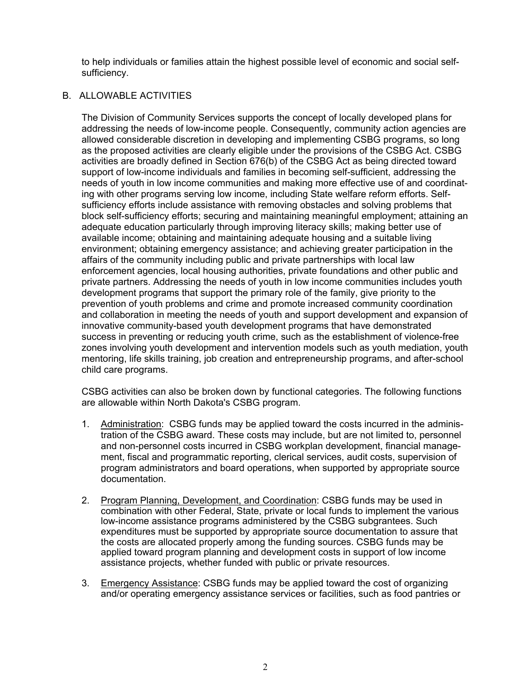to help individuals or families attain the highest possible level of economic and social selfsufficiency.

## B. ALLOWABLE ACTIVITIES

The Division of Community Services supports the concept of locally developed plans for addressing the needs of low-income people. Consequently, community action agencies are allowed considerable discretion in developing and implementing CSBG programs, so long as the proposed activities are clearly eligible under the provisions of the CSBG Act. CSBG activities are broadly defined in Section 676(b) of the CSBG Act as being directed toward support of low-income individuals and families in becoming self-sufficient, addressing the needs of youth in low income communities and making more effective use of and coordinating with other programs serving low income, including State welfare reform efforts. Selfsufficiency efforts include assistance with removing obstacles and solving problems that block self-sufficiency efforts; securing and maintaining meaningful employment; attaining an adequate education particularly through improving literacy skills; making better use of available income; obtaining and maintaining adequate housing and a suitable living environment; obtaining emergency assistance; and achieving greater participation in the affairs of the community including public and private partnerships with local law enforcement agencies, local housing authorities, private foundations and other public and private partners. Addressing the needs of youth in low income communities includes youth development programs that support the primary role of the family, give priority to the prevention of youth problems and crime and promote increased community coordination and collaboration in meeting the needs of youth and support development and expansion of innovative community-based youth development programs that have demonstrated success in preventing or reducing youth crime, such as the establishment of violence-free zones involving youth development and intervention models such as youth mediation, youth mentoring, life skills training, job creation and entrepreneurship programs, and after-school child care programs.

CSBG activities can also be broken down by functional categories. The following functions are allowable within North Dakota's CSBG program.

- 1. Administration: CSBG funds may be applied toward the costs incurred in the administration of the CSBG award. These costs may include, but are not limited to, personnel and non-personnel costs incurred in CSBG workplan development, financial management, fiscal and programmatic reporting, clerical services, audit costs, supervision of program administrators and board operations, when supported by appropriate source documentation.
- 2. Program Planning, Development, and Coordination: CSBG funds may be used in combination with other Federal, State, private or local funds to implement the various low-income assistance programs administered by the CSBG subgrantees. Such expenditures must be supported by appropriate source documentation to assure that the costs are allocated properly among the funding sources. CSBG funds may be applied toward program planning and development costs in support of low income assistance projects, whether funded with public or private resources.
- 3. Emergency Assistance: CSBG funds may be applied toward the cost of organizing and/or operating emergency assistance services or facilities, such as food pantries or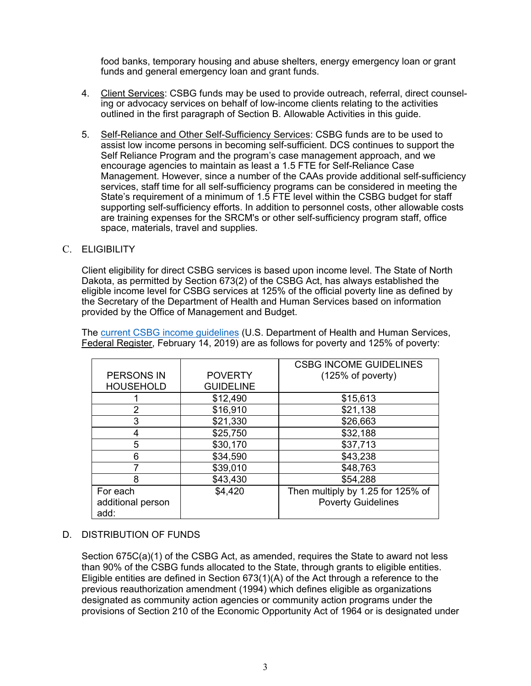food banks, temporary housing and abuse shelters, energy emergency loan or grant funds and general emergency loan and grant funds.

- 4. Client Services: CSBG funds may be used to provide outreach, referral, direct counseling or advocacy services on behalf of low-income clients relating to the activities outlined in the first paragraph of Section B. Allowable Activities in this guide.
- 5. Self-Reliance and Other Self-Sufficiency Services: CSBG funds are to be used to assist low income persons in becoming self-sufficient. DCS continues to support the Self Reliance Program and the program's case management approach, and we encourage agencies to maintain as least a 1.5 FTE for Self-Reliance Case Management. However, since a number of the CAAs provide additional self-sufficiency services, staff time for all self-sufficiency programs can be considered in meeting the State's requirement of a minimum of 1.5 FTE level within the CSBG budget for staff supporting self-sufficiency efforts. In addition to personnel costs, other allowable costs are training expenses for the SRCM's or other self-sufficiency program staff, office space, materials, travel and supplies.

#### C. ELIGIBILITY

Client eligibility for direct CSBG services is based upon income level. The State of North Dakota, as permitted by Section 673(2) of the CSBG Act, has always established the eligible income level for CSBG services at 125% of the official poverty line as defined by the Secretary of the Department of Health and Human Services based on information provided by the Office of Management and Budget.

The current CSBG income guidelines (U.S. Department of Health and Human Services, Federal Register, February 14, 2019) are as follows for poverty and 125% of poverty:

|                           |                  | <b>CSBG INCOME GUIDELINES</b>     |
|---------------------------|------------------|-----------------------------------|
| <b>PERSONS IN</b>         | <b>POVERTY</b>   | (125% of poverty)                 |
| <b>HOUSEHOLD</b>          | <b>GUIDELINE</b> |                                   |
|                           | \$12,490         | \$15,613                          |
| 2                         | \$16,910         | \$21,138                          |
| 3                         | \$21,330         | \$26,663                          |
|                           | \$25,750         | \$32,188                          |
| 5                         | \$30,170         | \$37,713                          |
| 6                         | \$34,590         | \$43,238                          |
|                           | \$39,010         | \$48,763                          |
| 8                         | \$43,430         | \$54,288                          |
| For each                  | \$4,420          | Then multiply by 1.25 for 125% of |
| additional person<br>add: |                  | <b>Poverty Guidelines</b>         |

## D. DISTRIBUTION OF FUNDS

Section 675C(a)(1) of the CSBG Act, as amended, requires the State to award not less than 90% of the CSBG funds allocated to the State, through grants to eligible entities. Eligible entities are defined in Section 673(1)(A) of the Act through a reference to the previous reauthorization amendment (1994) which defines eligible as organizations designated as community action agencies or community action programs under the provisions of Section 210 of the Economic Opportunity Act of 1964 or is designated under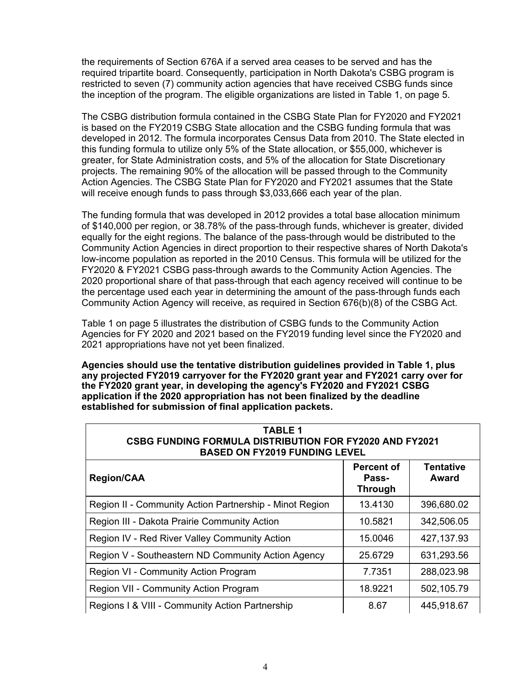the requirements of Section 676A if a served area ceases to be served and has the required tripartite board. Consequently, participation in North Dakota's CSBG program is restricted to seven (7) community action agencies that have received CSBG funds since the inception of the program. The eligible organizations are listed in Table 1, on page 5.

The CSBG distribution formula contained in the CSBG State Plan for FY2020 and FY2021 is based on the FY2019 CSBG State allocation and the CSBG funding formula that was developed in 2012. The formula incorporates Census Data from 2010. The State elected in this funding formula to utilize only 5% of the State allocation, or \$55,000, whichever is greater, for State Administration costs, and 5% of the allocation for State Discretionary projects. The remaining 90% of the allocation will be passed through to the Community Action Agencies. The CSBG State Plan for FY2020 and FY2021 assumes that the State will receive enough funds to pass through \$3,033,666 each year of the plan.

The funding formula that was developed in 2012 provides a total base allocation minimum of \$140,000 per region, or 38.78% of the pass-through funds, whichever is greater, divided equally for the eight regions. The balance of the pass-through would be distributed to the Community Action Agencies in direct proportion to their respective shares of North Dakota's low-income population as reported in the 2010 Census. This formula will be utilized for the FY2020 & FY2021 CSBG pass-through awards to the Community Action Agencies. The 2020 proportional share of that pass-through that each agency received will continue to be the percentage used each year in determining the amount of the pass-through funds each Community Action Agency will receive, as required in Section 676(b)(8) of the CSBG Act.

Table 1 on page 5 illustrates the distribution of CSBG funds to the Community Action Agencies for FY 2020 and 2021 based on the FY2019 funding level since the FY2020 and 2021 appropriations have not yet been finalized.

**Agencies should use the tentative distribution guidelines provided in Table 1, plus any projected FY2019 carryover for the FY2020 grant year and FY2021 carry over for the FY2020 grant year, in developing the agency's FY2020 and FY2021 CSBG application if the 2020 appropriation has not been finalized by the deadline established for submission of final application packets.** 

| <b>TABLE 1</b><br><b>CSBG FUNDING FORMULA DISTRIBUTION FOR FY2020 AND FY2021</b><br><b>BASED ON FY2019 FUNDING LEVEL</b> |                                              |                           |
|--------------------------------------------------------------------------------------------------------------------------|----------------------------------------------|---------------------------|
| <b>Region/CAA</b>                                                                                                        | <b>Percent of</b><br>Pass-<br><b>Through</b> | <b>Tentative</b><br>Award |
| Region II - Community Action Partnership - Minot Region                                                                  | 13.4130                                      | 396,680.02                |
| Region III - Dakota Prairie Community Action                                                                             | 10.5821                                      | 342,506.05                |
| Region IV - Red River Valley Community Action                                                                            | 15.0046                                      | 427,137.93                |
| Region V - Southeastern ND Community Action Agency                                                                       | 25.6729                                      | 631,293.56                |
| Region VI - Community Action Program                                                                                     | 7.7351                                       | 288,023.98                |
| Region VII - Community Action Program                                                                                    | 18.9221                                      | 502,105.79                |
| Regions I & VIII - Community Action Partnership                                                                          | 8.67                                         | 445,918.67                |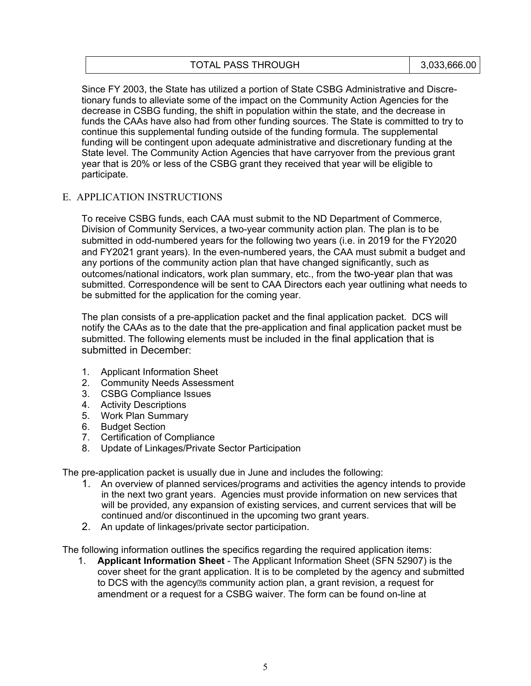## TOTAL PASS THROUGH  $\vert$  3,033,666.00

Since FY 2003, the State has utilized a portion of State CSBG Administrative and Discretionary funds to alleviate some of the impact on the Community Action Agencies for the decrease in CSBG funding, the shift in population within the state, and the decrease in funds the CAAs have also had from other funding sources. The State is committed to try to continue this supplemental funding outside of the funding formula. The supplemental funding will be contingent upon adequate administrative and discretionary funding at the State level. The Community Action Agencies that have carryover from the previous grant year that is 20% or less of the CSBG grant they received that year will be eligible to participate.

## E. APPLICATION INSTRUCTIONS

To receive CSBG funds, each CAA must submit to the ND Department of Commerce, Division of Community Services, a two-year community action plan. The plan is to be submitted in odd-numbered years for the following two years (i.e. in 2019 for the FY2020 and FY2021 grant years). In the even-numbered years, the CAA must submit a budget and any portions of the community action plan that have changed significantly, such as outcomes/national indicators, work plan summary, etc., from the two-year plan that was submitted. Correspondence will be sent to CAA Directors each year outlining what needs to be submitted for the application for the coming year.

The plan consists of a pre-application packet and the final application packet. DCS will notify the CAAs as to the date that the pre-application and final application packet must be submitted. The following elements must be included in the final application that is submitted in December:

- 1. Applicant Information Sheet
- 2. Community Needs Assessment
- 3. CSBG Compliance Issues
- 4. Activity Descriptions
- 5. Work Plan Summary
- 6. Budget Section
- 7. Certification of Compliance
- 8. Update of Linkages/Private Sector Participation

The pre-application packet is usually due in June and includes the following:

- 1. An overview of planned services/programs and activities the agency intends to provide in the next two grant years. Agencies must provide information on new services that will be provided, any expansion of existing services, and current services that will be continued and/or discontinued in the upcoming two grant years.
- 2. An update of linkages/private sector participation.

The following information outlines the specifics regarding the required application items:

1. **Applicant Information Sheet** - The Applicant Information Sheet (SFN 52907) is the cover sheet for the grant application. It is to be completed by the agency and submitted to DCS with the agency<sup>®</sup>s community action plan, a grant revision, a request for amendment or a request for a CSBG waiver. The form can be found on-line at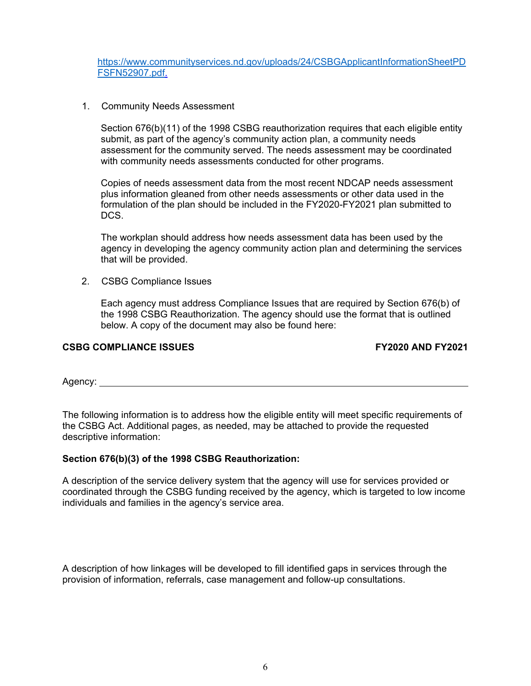https://www.communityservices.nd.gov/uploads/24/CSBGApplicantInformationSheetPD FSFN52907.pdf.

## 1. Community Needs Assessment

Section 676(b)(11) of the 1998 CSBG reauthorization requires that each eligible entity submit, as part of the agency's community action plan, a community needs assessment for the community served. The needs assessment may be coordinated with community needs assessments conducted for other programs.

Copies of needs assessment data from the most recent NDCAP needs assessment plus information gleaned from other needs assessments or other data used in the formulation of the plan should be included in the FY2020-FY2021 plan submitted to DCS.

The workplan should address how needs assessment data has been used by the agency in developing the agency community action plan and determining the services that will be provided.

2. CSBG Compliance Issues

Each agency must address Compliance Issues that are required by Section 676(b) of the 1998 CSBG Reauthorization. The agency should use the format that is outlined below. A copy of the document may also be found here:

## CSBG COMPLIANCE ISSUES **FY2020 AND FY2021**

Agency:

The following information is to address how the eligible entity will meet specific requirements of the CSBG Act. Additional pages, as needed, may be attached to provide the requested descriptive information:

#### **Section 676(b)(3) of the 1998 CSBG Reauthorization:**

A description of the service delivery system that the agency will use for services provided or coordinated through the CSBG funding received by the agency, which is targeted to low income individuals and families in the agency's service area.

A description of how linkages will be developed to fill identified gaps in services through the provision of information, referrals, case management and follow-up consultations.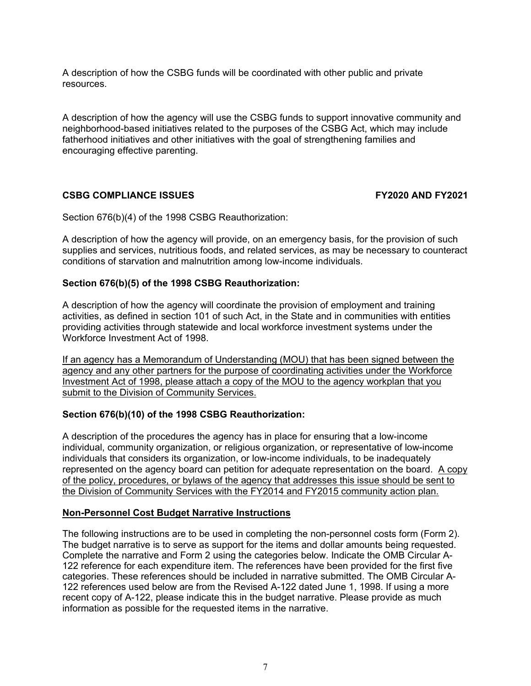A description of how the CSBG funds will be coordinated with other public and private resources.

A description of how the agency will use the CSBG funds to support innovative community and neighborhood-based initiatives related to the purposes of the CSBG Act, which may include fatherhood initiatives and other initiatives with the goal of strengthening families and encouraging effective parenting.

## **CSBG COMPLIANCE ISSUES FY2020 AND FY2021**

Section 676(b)(4) of the 1998 CSBG Reauthorization:

A description of how the agency will provide, on an emergency basis, for the provision of such supplies and services, nutritious foods, and related services, as may be necessary to counteract conditions of starvation and malnutrition among low-income individuals.

## **Section 676(b)(5) of the 1998 CSBG Reauthorization:**

A description of how the agency will coordinate the provision of employment and training activities, as defined in section 101 of such Act, in the State and in communities with entities providing activities through statewide and local workforce investment systems under the Workforce Investment Act of 1998.

If an agency has a Memorandum of Understanding (MOU) that has been signed between the agency and any other partners for the purpose of coordinating activities under the Workforce Investment Act of 1998, please attach a copy of the MOU to the agency workplan that you submit to the Division of Community Services.

#### **Section 676(b)(10) of the 1998 CSBG Reauthorization:**

A description of the procedures the agency has in place for ensuring that a low-income individual, community organization, or religious organization, or representative of low-income individuals that considers its organization, or low-income individuals, to be inadequately represented on the agency board can petition for adequate representation on the board. A copy of the policy, procedures, or bylaws of the agency that addresses this issue should be sent to the Division of Community Services with the FY2014 and FY2015 community action plan.

#### **Non-Personnel Cost Budget Narrative Instructions**

The following instructions are to be used in completing the non-personnel costs form (Form 2). The budget narrative is to serve as support for the items and dollar amounts being requested. Complete the narrative and Form 2 using the categories below. Indicate the OMB Circular A-122 reference for each expenditure item. The references have been provided for the first five categories. These references should be included in narrative submitted. The OMB Circular A-122 references used below are from the Revised A-122 dated June 1, 1998. If using a more recent copy of A-122, please indicate this in the budget narrative. Please provide as much information as possible for the requested items in the narrative.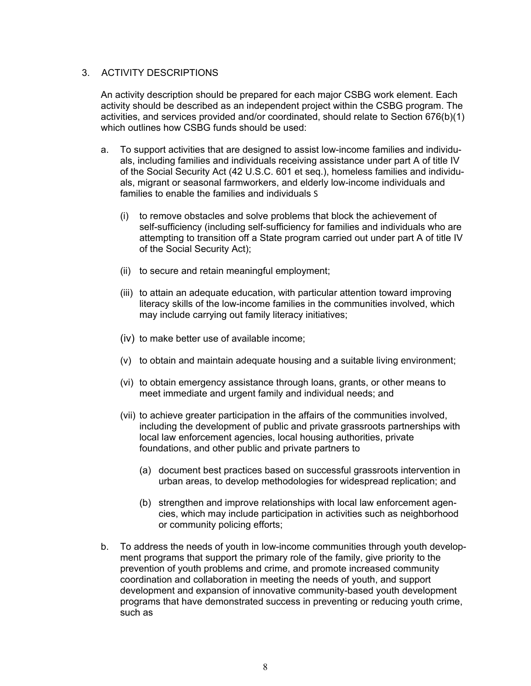## 3. ACTIVITY DESCRIPTIONS

An activity description should be prepared for each major CSBG work element. Each activity should be described as an independent project within the CSBG program. The activities, and services provided and/or coordinated, should relate to Section 676(b)(1) which outlines how CSBG funds should be used:

- a. To support activities that are designed to assist low-income families and individuals, including families and individuals receiving assistance under part A of title IV of the Social Security Act (42 U.S.C. 601 et seq.), homeless families and individuals, migrant or seasonal farmworkers, and elderly low-income individuals and families to enable the families and individuals S
	- (i) to remove obstacles and solve problems that block the achievement of self-sufficiency (including self-sufficiency for families and individuals who are attempting to transition off a State program carried out under part A of title IV of the Social Security Act);
	- (ii) to secure and retain meaningful employment;
	- (iii) to attain an adequate education, with particular attention toward improving literacy skills of the low-income families in the communities involved, which may include carrying out family literacy initiatives;
	- (iv) to make better use of available income;
	- (v) to obtain and maintain adequate housing and a suitable living environment;
	- (vi) to obtain emergency assistance through loans, grants, or other means to meet immediate and urgent family and individual needs; and
	- (vii) to achieve greater participation in the affairs of the communities involved, including the development of public and private grassroots partnerships with local law enforcement agencies, local housing authorities, private foundations, and other public and private partners to
		- (a) document best practices based on successful grassroots intervention in urban areas, to develop methodologies for widespread replication; and
		- (b) strengthen and improve relationships with local law enforcement agencies, which may include participation in activities such as neighborhood or community policing efforts;
- b. To address the needs of youth in low-income communities through youth development programs that support the primary role of the family, give priority to the prevention of youth problems and crime, and promote increased community coordination and collaboration in meeting the needs of youth, and support development and expansion of innovative community-based youth development programs that have demonstrated success in preventing or reducing youth crime, such as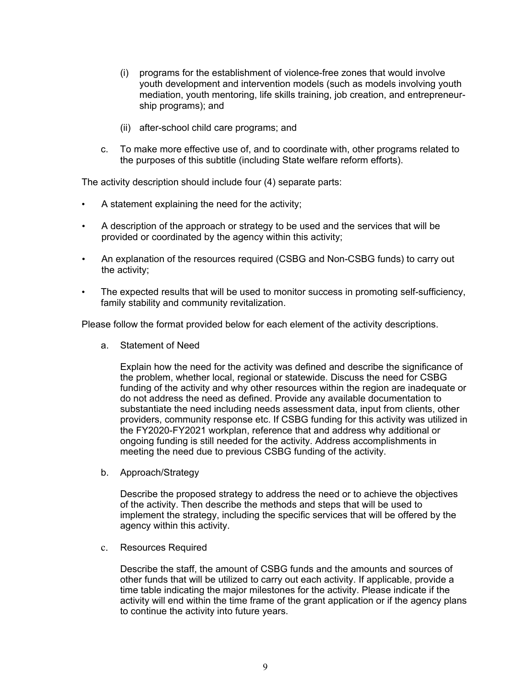- (i) programs for the establishment of violence-free zones that would involve youth development and intervention models (such as models involving youth mediation, youth mentoring, life skills training, job creation, and entrepreneurship programs); and
- (ii) after-school child care programs; and
- c. To make more effective use of, and to coordinate with, other programs related to the purposes of this subtitle (including State welfare reform efforts).

The activity description should include four (4) separate parts:

- A statement explaining the need for the activity;
- A description of the approach or strategy to be used and the services that will be provided or coordinated by the agency within this activity;
- An explanation of the resources required (CSBG and Non-CSBG funds) to carry out the activity;
- The expected results that will be used to monitor success in promoting self-sufficiency, family stability and community revitalization.

Please follow the format provided below for each element of the activity descriptions.

a. Statement of Need

Explain how the need for the activity was defined and describe the significance of the problem, whether local, regional or statewide. Discuss the need for CSBG funding of the activity and why other resources within the region are inadequate or do not address the need as defined. Provide any available documentation to substantiate the need including needs assessment data, input from clients, other providers, community response etc. If CSBG funding for this activity was utilized in the FY2020-FY2021 workplan, reference that and address why additional or ongoing funding is still needed for the activity. Address accomplishments in meeting the need due to previous CSBG funding of the activity.

b. Approach/Strategy

Describe the proposed strategy to address the need or to achieve the objectives of the activity. Then describe the methods and steps that will be used to implement the strategy, including the specific services that will be offered by the agency within this activity.

c. Resources Required

Describe the staff, the amount of CSBG funds and the amounts and sources of other funds that will be utilized to carry out each activity. If applicable, provide a time table indicating the major milestones for the activity. Please indicate if the activity will end within the time frame of the grant application or if the agency plans to continue the activity into future years.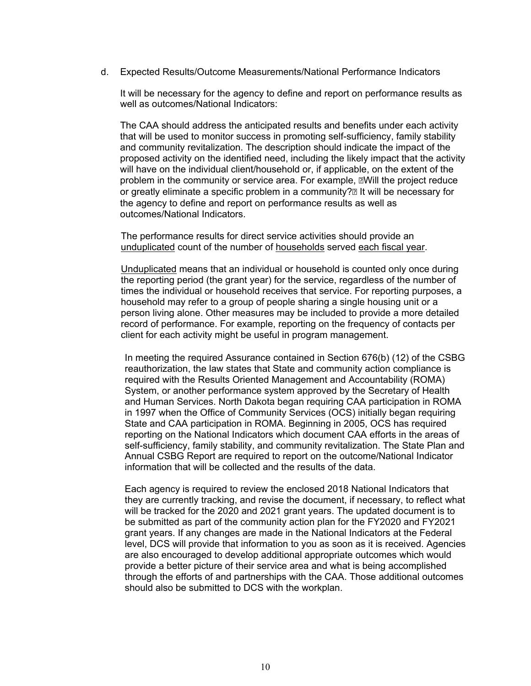d. Expected Results/Outcome Measurements/National Performance Indicators

It will be necessary for the agency to define and report on performance results as well as outcomes/National Indicators:

 The CAA should address the anticipated results and benefits under each activity that will be used to monitor success in promoting self-sufficiency, family stability and community revitalization. The description should indicate the impact of the proposed activity on the identified need, including the likely impact that the activity will have on the individual client/household or, if applicable, on the extent of the problem in the community or service area. For example, Newill the project reduce or greatly eliminate a specific problem in a community? It will be necessary for the agency to define and report on performance results as well as outcomes/National Indicators.

 The performance results for direct service activities should provide an unduplicated count of the number of households served each fiscal year.

Unduplicated means that an individual or household is counted only once during the reporting period (the grant year) for the service, regardless of the number of times the individual or household receives that service. For reporting purposes, a household may refer to a group of people sharing a single housing unit or a person living alone. Other measures may be included to provide a more detailed record of performance. For example, reporting on the frequency of contacts per client for each activity might be useful in program management.

In meeting the required Assurance contained in Section 676(b) (12) of the CSBG reauthorization, the law states that State and community action compliance is required with the Results Oriented Management and Accountability (ROMA) System, or another performance system approved by the Secretary of Health and Human Services. North Dakota began requiring CAA participation in ROMA in 1997 when the Office of Community Services (OCS) initially began requiring State and CAA participation in ROMA. Beginning in 2005, OCS has required reporting on the National Indicators which document CAA efforts in the areas of self-sufficiency, family stability, and community revitalization. The State Plan and Annual CSBG Report are required to report on the outcome/National Indicator information that will be collected and the results of the data.

Each agency is required to review the enclosed 2018 National Indicators that they are currently tracking, and revise the document, if necessary, to reflect what will be tracked for the 2020 and 2021 grant years. The updated document is to be submitted as part of the community action plan for the FY2020 and FY2021 grant years. If any changes are made in the National Indicators at the Federal level, DCS will provide that information to you as soon as it is received. Agencies are also encouraged to develop additional appropriate outcomes which would provide a better picture of their service area and what is being accomplished through the efforts of and partnerships with the CAA. Those additional outcomes should also be submitted to DCS with the workplan.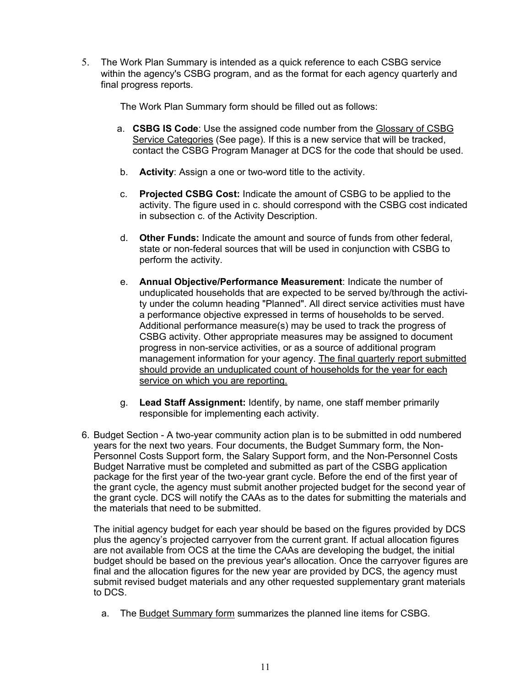5. The Work Plan Summary is intended as a quick reference to each CSBG service within the agency's CSBG program, and as the format for each agency quarterly and final progress reports.

The Work Plan Summary form should be filled out as follows:

- a. **CSBG IS Code**: Use the assigned code number from the Glossary of CSBG Service Categories (See page). If this is a new service that will be tracked, contact the CSBG Program Manager at DCS for the code that should be used.
- b. **Activity**: Assign a one or two-word title to the activity.
- c. **Projected CSBG Cost:** Indicate the amount of CSBG to be applied to the activity. The figure used in c. should correspond with the CSBG cost indicated in subsection c. of the Activity Description.
- d. **Other Funds:** Indicate the amount and source of funds from other federal, state or non-federal sources that will be used in conjunction with CSBG to perform the activity.
- e. **Annual Objective/Performance Measurement**: Indicate the number of unduplicated households that are expected to be served by/through the activity under the column heading "Planned". All direct service activities must have a performance objective expressed in terms of households to be served. Additional performance measure(s) may be used to track the progress of CSBG activity. Other appropriate measures may be assigned to document progress in non-service activities, or as a source of additional program management information for your agency. The final quarterly report submitted should provide an unduplicated count of households for the year for each service on which you are reporting.
- g. **Lead Staff Assignment:** Identify, by name, one staff member primarily responsible for implementing each activity.
- 6. Budget Section A two-year community action plan is to be submitted in odd numbered years for the next two years. Four documents, the Budget Summary form, the Non-Personnel Costs Support form, the Salary Support form, and the Non-Personnel Costs Budget Narrative must be completed and submitted as part of the CSBG application package for the first year of the two-year grant cycle. Before the end of the first year of the grant cycle, the agency must submit another projected budget for the second year of the grant cycle. DCS will notify the CAAs as to the dates for submitting the materials and the materials that need to be submitted.

The initial agency budget for each year should be based on the figures provided by DCS plus the agency's projected carryover from the current grant. If actual allocation figures are not available from OCS at the time the CAAs are developing the budget, the initial budget should be based on the previous year's allocation. Once the carryover figures are final and the allocation figures for the new year are provided by DCS, the agency must submit revised budget materials and any other requested supplementary grant materials to DCS.

a. The Budget Summary form summarizes the planned line items for CSBG.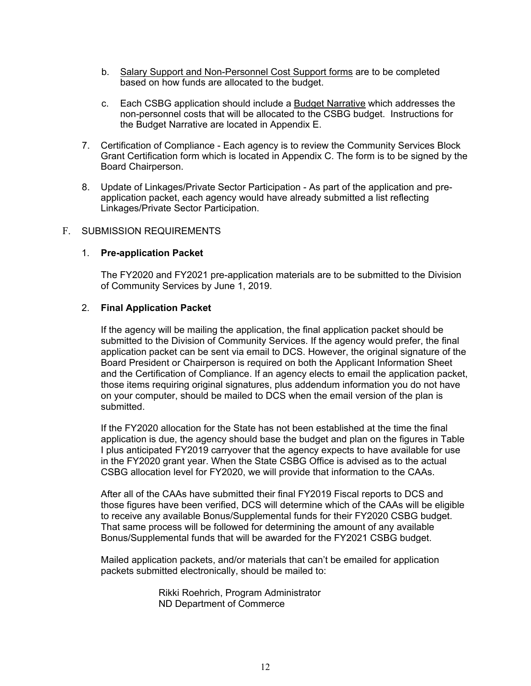- b. Salary Support and Non-Personnel Cost Support forms are to be completed based on how funds are allocated to the budget.
- c. Each CSBG application should include a Budget Narrative which addresses the non-personnel costs that will be allocated to the CSBG budget. Instructions for the Budget Narrative are located in Appendix E.
- 7. Certification of Compliance Each agency is to review the Community Services Block Grant Certification form which is located in Appendix C. The form is to be signed by the Board Chairperson.
- 8. Update of Linkages/Private Sector Participation As part of the application and preapplication packet, each agency would have already submitted a list reflecting Linkages/Private Sector Participation.

#### F. SUBMISSION REQUIREMENTS

#### 1. **Pre-application Packet**

The FY2020 and FY2021 pre-application materials are to be submitted to the Division of Community Services by June 1, 2019.

#### 2. **Final Application Packet**

If the agency will be mailing the application, the final application packet should be submitted to the Division of Community Services. If the agency would prefer, the final application packet can be sent via email to DCS. However, the original signature of the Board President or Chairperson is required on both the Applicant Information Sheet and the Certification of Compliance. If an agency elects to email the application packet, those items requiring original signatures, plus addendum information you do not have on your computer, should be mailed to DCS when the email version of the plan is submitted.

If the FY2020 allocation for the State has not been established at the time the final application is due, the agency should base the budget and plan on the figures in Table I plus anticipated FY2019 carryover that the agency expects to have available for use in the FY2020 grant year. When the State CSBG Office is advised as to the actual CSBG allocation level for FY2020, we will provide that information to the CAAs.

After all of the CAAs have submitted their final FY2019 Fiscal reports to DCS and those figures have been verified, DCS will determine which of the CAAs will be eligible to receive any available Bonus/Supplemental funds for their FY2020 CSBG budget. That same process will be followed for determining the amount of any available Bonus/Supplemental funds that will be awarded for the FY2021 CSBG budget.

Mailed application packets, and/or materials that can't be emailed for application packets submitted electronically, should be mailed to:

> Rikki Roehrich, Program Administrator ND Department of Commerce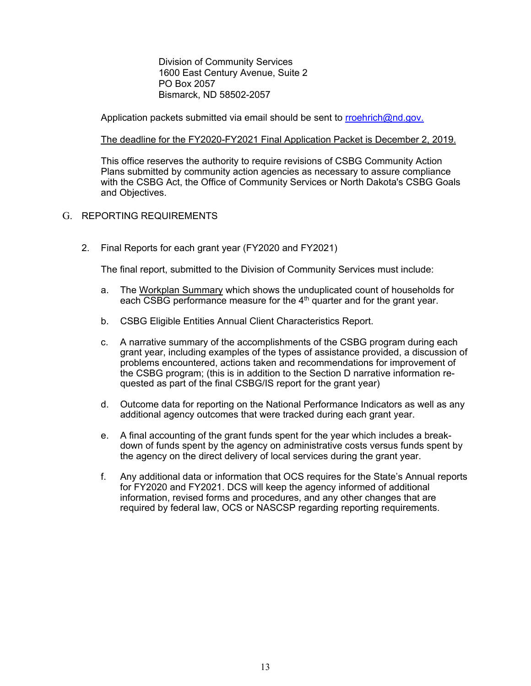Division of Community Services 1600 East Century Avenue, Suite 2 PO Box 2057 Bismarck, ND 58502-2057

Application packets submitted via email should be sent to rroehrich@nd.gov.

The deadline for the FY2020-FY2021 Final Application Packet is December 2, 2019.

This office reserves the authority to require revisions of CSBG Community Action Plans submitted by community action agencies as necessary to assure compliance with the CSBG Act, the Office of Community Services or North Dakota's CSBG Goals and Objectives.

## G. REPORTING REQUIREMENTS

2. Final Reports for each grant year (FY2020 and FY2021)

The final report, submitted to the Division of Community Services must include:

- a. The Workplan Summary which shows the unduplicated count of households for each  $\overline{\text{CSBG}}$  performance measure for the  $4^{\text{th}}$  quarter and for the grant year.
- b. CSBG Eligible Entities Annual Client Characteristics Report.
- c. A narrative summary of the accomplishments of the CSBG program during each grant year, including examples of the types of assistance provided, a discussion of problems encountered, actions taken and recommendations for improvement of the CSBG program; (this is in addition to the Section D narrative information requested as part of the final CSBG/IS report for the grant year)
- d. Outcome data for reporting on the National Performance Indicators as well as any additional agency outcomes that were tracked during each grant year.
- e. A final accounting of the grant funds spent for the year which includes a breakdown of funds spent by the agency on administrative costs versus funds spent by the agency on the direct delivery of local services during the grant year.
- f. Any additional data or information that OCS requires for the State's Annual reports for FY2020 and FY2021. DCS will keep the agency informed of additional information, revised forms and procedures, and any other changes that are required by federal law, OCS or NASCSP regarding reporting requirements.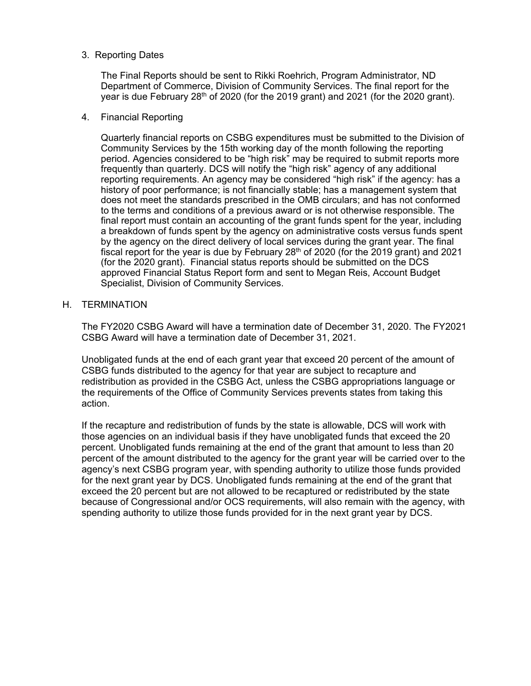## 3. Reporting Dates

The Final Reports should be sent to Rikki Roehrich, Program Administrator, ND Department of Commerce, Division of Community Services. The final report for the year is due February 28<sup>th</sup> of 2020 (for the 2019 grant) and 2021 (for the 2020 grant).

#### 4. Financial Reporting

Quarterly financial reports on CSBG expenditures must be submitted to the Division of Community Services by the 15th working day of the month following the reporting period. Agencies considered to be "high risk" may be required to submit reports more frequently than quarterly. DCS will notify the "high risk" agency of any additional reporting requirements. An agency may be considered "high risk" if the agency: has a history of poor performance; is not financially stable; has a management system that does not meet the standards prescribed in the OMB circulars; and has not conformed to the terms and conditions of a previous award or is not otherwise responsible. The final report must contain an accounting of the grant funds spent for the year, including a breakdown of funds spent by the agency on administrative costs versus funds spent by the agency on the direct delivery of local services during the grant year. The final fiscal report for the year is due by February  $28<sup>th</sup>$  of 2020 (for the 2019 grant) and 2021 (for the 2020 grant). Financial status reports should be submitted on the DCS approved Financial Status Report form and sent to Megan Reis, Account Budget Specialist, Division of Community Services.

#### H. TERMINATION

The FY2020 CSBG Award will have a termination date of December 31, 2020. The FY2021 CSBG Award will have a termination date of December 31, 2021.

Unobligated funds at the end of each grant year that exceed 20 percent of the amount of CSBG funds distributed to the agency for that year are subject to recapture and redistribution as provided in the CSBG Act, unless the CSBG appropriations language or the requirements of the Office of Community Services prevents states from taking this action.

If the recapture and redistribution of funds by the state is allowable, DCS will work with those agencies on an individual basis if they have unobligated funds that exceed the 20 percent. Unobligated funds remaining at the end of the grant that amount to less than 20 percent of the amount distributed to the agency for the grant year will be carried over to the agency's next CSBG program year, with spending authority to utilize those funds provided for the next grant year by DCS. Unobligated funds remaining at the end of the grant that exceed the 20 percent but are not allowed to be recaptured or redistributed by the state because of Congressional and/or OCS requirements, will also remain with the agency, with spending authority to utilize those funds provided for in the next grant year by DCS.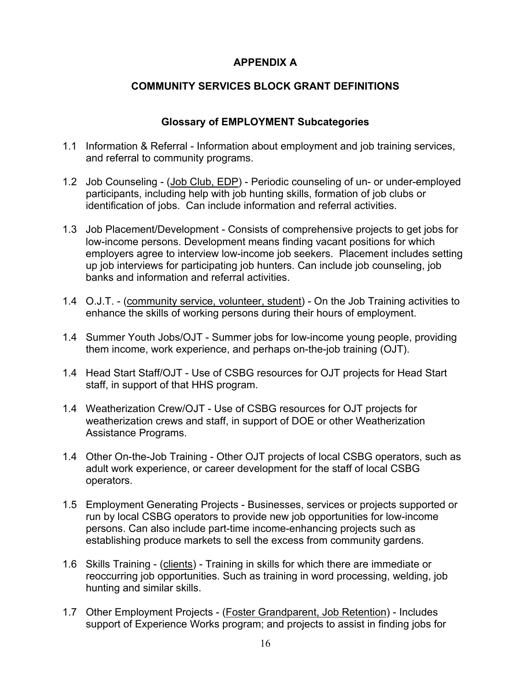## **APPENDIX A**

## **COMMUNITY SERVICES BLOCK GRANT DEFINITIONS**

## **Glossary of EMPLOYMENT Subcategories**

- 1.1 Information & Referral Information about employment and job training services, and referral to community programs.
- 1.2 Job Counseling (Job Club, EDP) Periodic counseling of un- or under-employed participants, including help with job hunting skills, formation of job clubs or identification of jobs. Can include information and referral activities.
- 1.3 Job Placement/Development Consists of comprehensive projects to get jobs for low-income persons. Development means finding vacant positions for which employers agree to interview low-income job seekers. Placement includes setting up job interviews for participating job hunters. Can include job counseling, job banks and information and referral activities.
- 1.4 O.J.T. (community service, volunteer, student) On the Job Training activities to enhance the skills of working persons during their hours of employment.
- 1.4 Summer Youth Jobs/OJT Summer jobs for low-income young people, providing them income, work experience, and perhaps on-the-job training (OJT).
- 1.4 Head Start Staff/OJT Use of CSBG resources for OJT projects for Head Start staff, in support of that HHS program.
- 1.4 Weatherization Crew/OJT Use of CSBG resources for OJT projects for weatherization crews and staff, in support of DOE or other Weatherization Assistance Programs.
- 1.4 Other On-the-Job Training Other OJT projects of local CSBG operators, such as adult work experience, or career development for the staff of local CSBG operators.
- 1.5 Employment Generating Projects Businesses, services or projects supported or run by local CSBG operators to provide new job opportunities for low-income persons. Can also include part-time income-enhancing projects such as establishing produce markets to sell the excess from community gardens.
- 1.6 Skills Training (clients) Training in skills for which there are immediate or reoccurring job opportunities. Such as training in word processing, welding, job hunting and similar skills.
- 1.7 Other Employment Projects (Foster Grandparent, Job Retention) Includes support of Experience Works program; and projects to assist in finding jobs for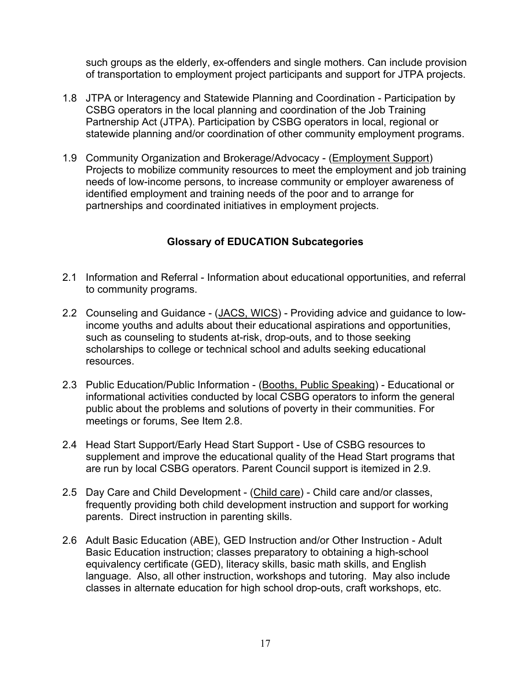such groups as the elderly, ex-offenders and single mothers. Can include provision of transportation to employment project participants and support for JTPA projects.

- 1.8 JTPA or Interagency and Statewide Planning and Coordination Participation by CSBG operators in the local planning and coordination of the Job Training Partnership Act (JTPA). Participation by CSBG operators in local, regional or statewide planning and/or coordination of other community employment programs.
- 1.9 Community Organization and Brokerage/Advocacy (Employment Support) Projects to mobilize community resources to meet the employment and job training needs of low-income persons, to increase community or employer awareness of identified employment and training needs of the poor and to arrange for partnerships and coordinated initiatives in employment projects.

## **Glossary of EDUCATION Subcategories**

- 2.1 Information and Referral Information about educational opportunities, and referral to community programs.
- 2.2 Counseling and Guidance (JACS, WICS) Providing advice and guidance to lowincome youths and adults about their educational aspirations and opportunities, such as counseling to students at-risk, drop-outs, and to those seeking scholarships to college or technical school and adults seeking educational resources.
- 2.3 Public Education/Public Information (Booths, Public Speaking) Educational or informational activities conducted by local CSBG operators to inform the general public about the problems and solutions of poverty in their communities. For meetings or forums, See Item 2.8.
- 2.4 Head Start Support/Early Head Start Support Use of CSBG resources to supplement and improve the educational quality of the Head Start programs that are run by local CSBG operators. Parent Council support is itemized in 2.9.
- 2.5 Day Care and Child Development (Child care) Child care and/or classes, frequently providing both child development instruction and support for working parents. Direct instruction in parenting skills.
- 2.6 Adult Basic Education (ABE), GED Instruction and/or Other Instruction Adult Basic Education instruction; classes preparatory to obtaining a high-school equivalency certificate (GED), literacy skills, basic math skills, and English language. Also, all other instruction, workshops and tutoring. May also include classes in alternate education for high school drop-outs, craft workshops, etc.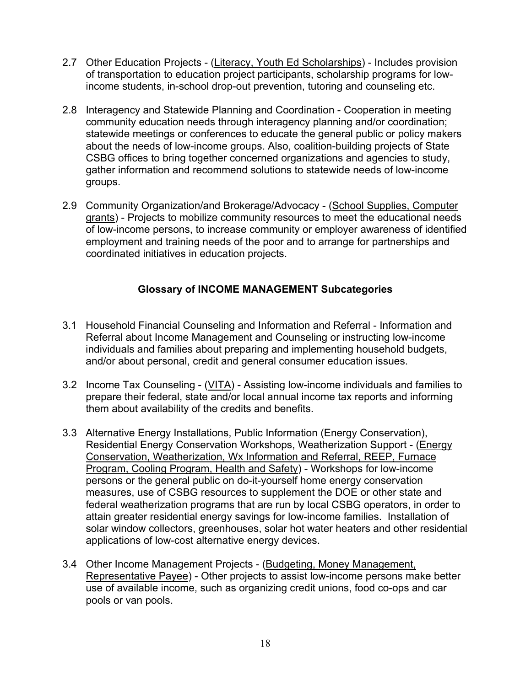- 2.7 Other Education Projects (Literacy, Youth Ed Scholarships) Includes provision of transportation to education project participants, scholarship programs for lowincome students, in-school drop-out prevention, tutoring and counseling etc.
- 2.8 Interagency and Statewide Planning and Coordination Cooperation in meeting community education needs through interagency planning and/or coordination; statewide meetings or conferences to educate the general public or policy makers about the needs of low-income groups. Also, coalition-building projects of State CSBG offices to bring together concerned organizations and agencies to study, gather information and recommend solutions to statewide needs of low-income groups.
- 2.9 Community Organization/and Brokerage/Advocacy (School Supplies, Computer grants) - Projects to mobilize community resources to meet the educational needs of low-income persons, to increase community or employer awareness of identified employment and training needs of the poor and to arrange for partnerships and coordinated initiatives in education projects.

## **Glossary of INCOME MANAGEMENT Subcategories**

- 3.1 Household Financial Counseling and Information and Referral Information and Referral about Income Management and Counseling or instructing low-income individuals and families about preparing and implementing household budgets, and/or about personal, credit and general consumer education issues.
- 3.2 Income Tax Counseling (VITA) Assisting low-income individuals and families to prepare their federal, state and/or local annual income tax reports and informing them about availability of the credits and benefits.
- 3.3 Alternative Energy Installations, Public Information (Energy Conservation), Residential Energy Conservation Workshops, Weatherization Support - (Energy Conservation, Weatherization, Wx Information and Referral, REEP, Furnace Program, Cooling Program, Health and Safety) - Workshops for low-income persons or the general public on do-it-yourself home energy conservation measures, use of CSBG resources to supplement the DOE or other state and federal weatherization programs that are run by local CSBG operators, in order to attain greater residential energy savings for low-income families. Installation of solar window collectors, greenhouses, solar hot water heaters and other residential applications of low-cost alternative energy devices.
- 3.4 Other Income Management Projects (Budgeting, Money Management, Representative Payee) - Other projects to assist low-income persons make better use of available income, such as organizing credit unions, food co-ops and car pools or van pools.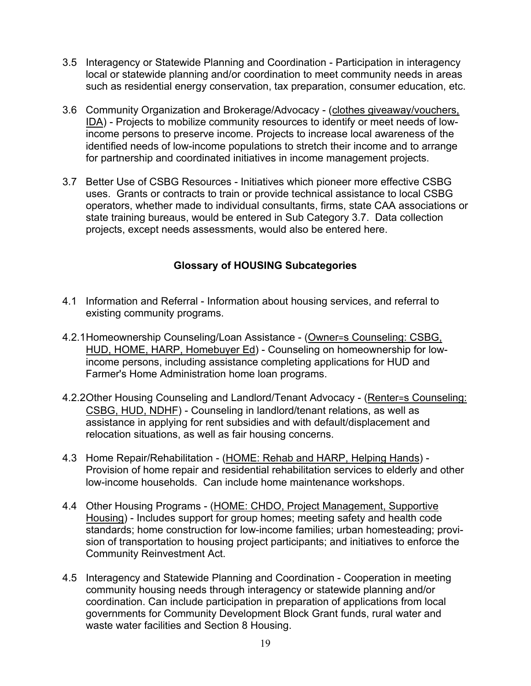- 3.5 Interagency or Statewide Planning and Coordination Participation in interagency local or statewide planning and/or coordination to meet community needs in areas such as residential energy conservation, tax preparation, consumer education, etc.
- 3.6 Community Organization and Brokerage/Advocacy (clothes giveaway/vouchers, IDA) - Projects to mobilize community resources to identify or meet needs of lowincome persons to preserve income. Projects to increase local awareness of the identified needs of low-income populations to stretch their income and to arrange for partnership and coordinated initiatives in income management projects.
- 3.7 Better Use of CSBG Resources Initiatives which pioneer more effective CSBG uses. Grants or contracts to train or provide technical assistance to local CSBG operators, whether made to individual consultants, firms, state CAA associations or state training bureaus, would be entered in Sub Category 3.7. Data collection projects, except needs assessments, would also be entered here.

## **Glossary of HOUSING Subcategories**

- 4.1 Information and Referral Information about housing services, and referral to existing community programs.
- 4.2.1 Homeownership Counseling/Loan Assistance (Owner=s Counseling: CSBG, HUD, HOME, HARP, Homebuyer Ed) - Counseling on homeownership for lowincome persons, including assistance completing applications for HUD and Farmer's Home Administration home loan programs.
- 4.2.2 Other Housing Counseling and Landlord/Tenant Advocacy (Renter=s Counseling: CSBG, HUD, NDHF) - Counseling in landlord/tenant relations, as well as assistance in applying for rent subsidies and with default/displacement and relocation situations, as well as fair housing concerns.
- 4.3 Home Repair/Rehabilitation (HOME: Rehab and HARP, Helping Hands) Provision of home repair and residential rehabilitation services to elderly and other low-income households. Can include home maintenance workshops.
- 4.4 Other Housing Programs (HOME: CHDO, Project Management, Supportive Housing) - Includes support for group homes; meeting safety and health code standards; home construction for low-income families; urban homesteading; provision of transportation to housing project participants; and initiatives to enforce the Community Reinvestment Act.
- 4.5 Interagency and Statewide Planning and Coordination Cooperation in meeting community housing needs through interagency or statewide planning and/or coordination. Can include participation in preparation of applications from local governments for Community Development Block Grant funds, rural water and waste water facilities and Section 8 Housing.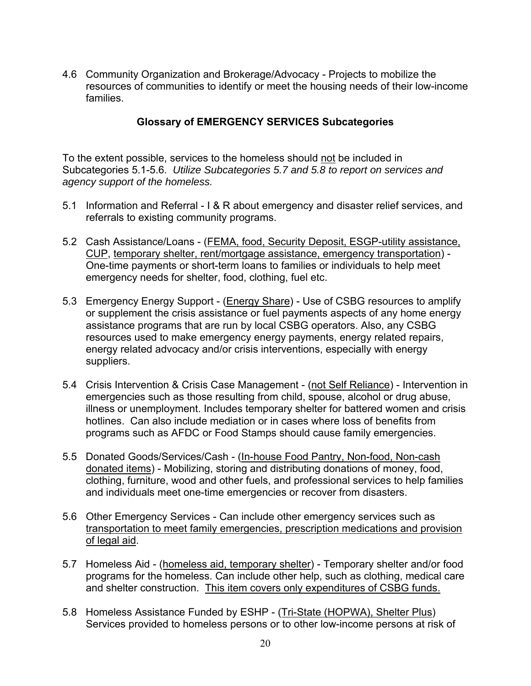4.6 Community Organization and Brokerage/Advocacy - Projects to mobilize the resources of communities to identify or meet the housing needs of their low-income families.

## **Glossary of EMERGENCY SERVICES Subcategories**

To the extent possible, services to the homeless should not be included in Subcategories 5.1-5.6. *Utilize Subcategories 5.7 and 5.8 to report on services and agency support of the homeless.*

- 5.1 Information and Referral I & R about emergency and disaster relief services, and referrals to existing community programs.
- 5.2 Cash Assistance/Loans (FEMA, food, Security Deposit, ESGP-utility assistance, CUP, temporary shelter, rent/mortgage assistance, emergency transportation) - One-time payments or short-term loans to families or individuals to help meet emergency needs for shelter, food, clothing, fuel etc.
- 5.3 Emergency Energy Support (Energy Share) Use of CSBG resources to amplify or supplement the crisis assistance or fuel payments aspects of any home energy assistance programs that are run by local CSBG operators. Also, any CSBG resources used to make emergency energy payments, energy related repairs, energy related advocacy and/or crisis interventions, especially with energy suppliers.
- 5.4 Crisis Intervention & Crisis Case Management (not Self Reliance) Intervention in emergencies such as those resulting from child, spouse, alcohol or drug abuse, illness or unemployment. Includes temporary shelter for battered women and crisis hotlines. Can also include mediation or in cases where loss of benefits from programs such as AFDC or Food Stamps should cause family emergencies.
- 5.5 Donated Goods/Services/Cash (In-house Food Pantry, Non-food, Non-cash donated items) - Mobilizing, storing and distributing donations of money, food, clothing, furniture, wood and other fuels, and professional services to help families and individuals meet one-time emergencies or recover from disasters.
- 5.6 Other Emergency Services Can include other emergency services such as transportation to meet family emergencies, prescription medications and provision of legal aid.
- 5.7 Homeless Aid (homeless aid, temporary shelter) Temporary shelter and/or food programs for the homeless. Can include other help, such as clothing, medical care and shelter construction. This item covers only expenditures of CSBG funds.
- 5.8 Homeless Assistance Funded by ESHP (Tri-State (HOPWA), Shelter Plus) Services provided to homeless persons or to other low-income persons at risk of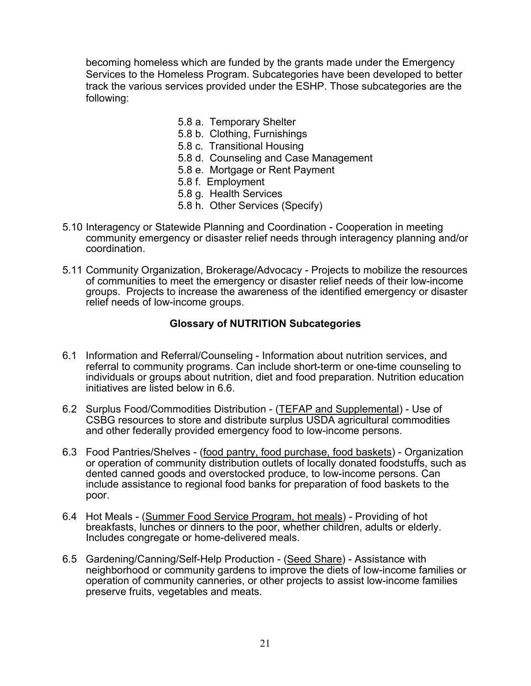becoming homeless which are funded by the grants made under the Emergency Services to the Homeless Program. Subcategories have been developed to better track the various services provided under the ESHP. Those subcategories are the following:

- 5.8 a. Temporary Shelter
- 5.8 b. Clothing, Furnishings
- 5.8 c. Transitional Housing
- 5.8 d. Counseling and Case Management
- 5.8 e. Mortgage or Rent Payment
- 5.8 f. Employment
- 5.8 g. Health Services
- 5.8 h. Other Services (Specify)
- 5.10 Interagency or Statewide Planning and Coordination Cooperation in meeting community emergency or disaster relief needs through interagency planning and/or coordination.
- 5.11 Community Organization, Brokerage/Advocacy Projects to mobilize the resources of communities to meet the emergency or disaster relief needs of their low-income groups. Projects to increase the awareness of the identified emergency or disaster relief needs of low-income groups.

## **Glossary of NUTRITION Subcategories**

- 6.1 Information and Referral/Counseling Information about nutrition services, and referral to community programs. Can include short-term or one-time counseling to individuals or groups about nutrition, diet and food preparation. Nutrition education initiatives are listed below in 6.6.
- 6.2 Surplus Food/Commodities Distribution (TEFAP and Supplemental) Use of CSBG resources to store and distribute surplus USDA agricultural commodities and other federally provided emergency food to low-income persons.
- 6.3 Food Pantries/Shelves (food pantry, food purchase, food baskets) Organization or operation of community distribution outlets of locally donated foodstuffs, such as dented canned goods and overstocked produce, to low-income persons. Can include assistance to regional food banks for preparation of food baskets to the poor.
- 6.4 Hot Meals (Summer Food Service Program, hot meals) Providing of hot breakfasts, lunches or dinners to the poor, whether children, adults or elderly. Includes congregate or home-delivered meals.
- 6.5 Gardening/Canning/Self-Help Production (Seed Share) Assistance with neighborhood or community gardens to improve the diets of low-income families or operation of community canneries, or other projects to assist low-income families preserve fruits, vegetables and meats.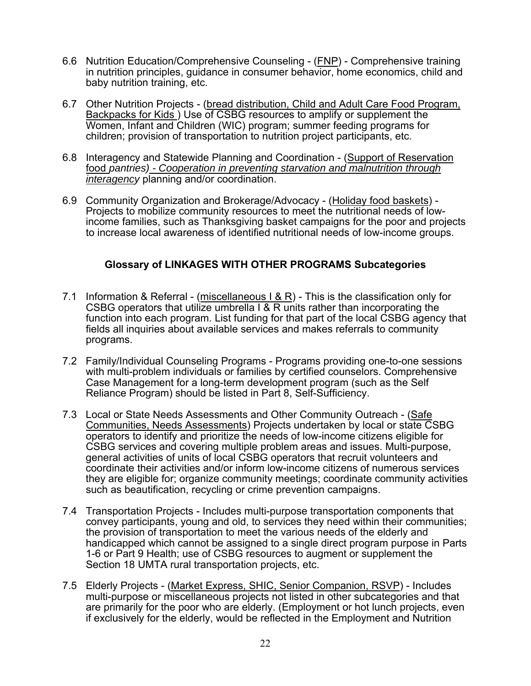- 6.6 Nutrition Education/Comprehensive Counseling (FNP) Comprehensive training in nutrition principles, guidance in consumer behavior, home economics, child and baby nutrition training, etc.
- 6.7 Other Nutrition Projects (bread distribution, Child and Adult Care Food Program, Backpacks for Kids ) Use of CSBG resources to amplify or supplement the Women, Infant and Children (WIC) program; summer feeding programs for children; provision of transportation to nutrition project participants, etc.
- 6.8 Interagency and Statewide Planning and Coordination (Support of Reservation food *pantries) - Cooperation in preventing starvation and malnutrition through interagency* planning and/or coordination.
- 6.9 Community Organization and Brokerage/Advocacy (Holiday food baskets) Projects to mobilize community resources to meet the nutritional needs of lowincome families, such as Thanksgiving basket campaigns for the poor and projects to increase local awareness of identified nutritional needs of low-income groups.

## **Glossary of LINKAGES WITH OTHER PROGRAMS Subcategories**

- 7.1 Information & Referral (miscellaneous I & R) This is the classification only for CSBG operators that utilize umbrella I & R units rather than incorporating the function into each program. List funding for that part of the local CSBG agency that fields all inquiries about available services and makes referrals to community programs.
- 7.2 Family/Individual Counseling Programs Programs providing one-to-one sessions with multi-problem individuals or families by certified counselors. Comprehensive Case Management for a long-term development program (such as the Self Reliance Program) should be listed in Part 8, Self-Sufficiency.
- 7.3 Local or State Needs Assessments and Other Community Outreach (Safe Communities, Needs Assessments) Projects undertaken by local or state CSBG operators to identify and prioritize the needs of low-income citizens eligible for CSBG services and covering multiple problem areas and issues. Multi-purpose, general activities of units of local CSBG operators that recruit volunteers and coordinate their activities and/or inform low-income citizens of numerous services they are eligible for; organize community meetings; coordinate community activities such as beautification, recycling or crime prevention campaigns.
- 7.4 Transportation Projects Includes multi-purpose transportation components that convey participants, young and old, to services they need within their communities; the provision of transportation to meet the various needs of the elderly and handicapped which cannot be assigned to a single direct program purpose in Parts 1-6 or Part 9 Health; use of CSBG resources to augment or supplement the Section 18 UMTA rural transportation projects, etc.
- 7.5 Elderly Projects (Market Express, SHIC, Senior Companion, RSVP) Includes multi-purpose or miscellaneous projects not listed in other subcategories and that are primarily for the poor who are elderly. (Employment or hot lunch projects, even if exclusively for the elderly, would be reflected in the Employment and Nutrition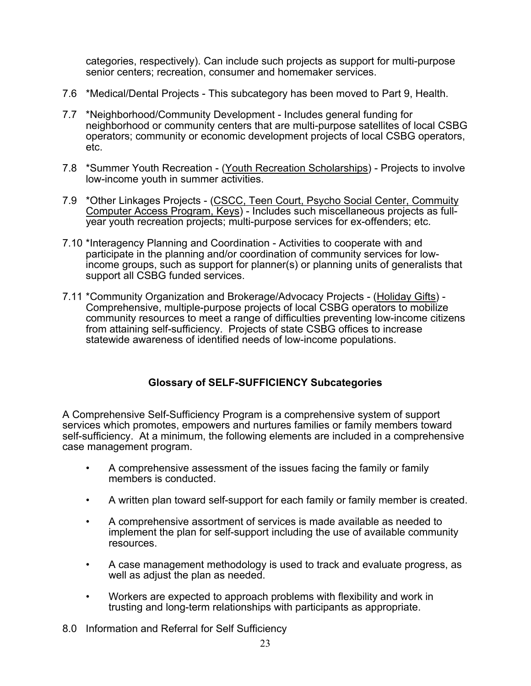categories, respectively). Can include such projects as support for multi-purpose senior centers; recreation, consumer and homemaker services.

- 7.6 \*Medical/Dental Projects This subcategory has been moved to Part 9, Health.
- 7.7 \*Neighborhood/Community Development Includes general funding for neighborhood or community centers that are multi-purpose satellites of local CSBG operators; community or economic development projects of local CSBG operators, etc.
- 7.8 \*Summer Youth Recreation (Youth Recreation Scholarships) Projects to involve low-income youth in summer activities.
- 7.9 \*Other Linkages Projects (CSCC, Teen Court, Psycho Social Center, Commuity Computer Access Program, Keys) - Includes such miscellaneous projects as fullyear youth recreation projects; multi-purpose services for ex-offenders; etc.
- 7.10 \*Interagency Planning and Coordination Activities to cooperate with and participate in the planning and/or coordination of community services for lowincome groups, such as support for planner(s) or planning units of generalists that support all CSBG funded services.
- 7.11 \*Community Organization and Brokerage/Advocacy Projects (Holiday Gifts) Comprehensive, multiple-purpose projects of local CSBG operators to mobilize community resources to meet a range of difficulties preventing low-income citizens from attaining self-sufficiency. Projects of state CSBG offices to increase statewide awareness of identified needs of low-income populations.

## **Glossary of SELF-SUFFICIENCY Subcategories**

A Comprehensive Self-Sufficiency Program is a comprehensive system of support services which promotes, empowers and nurtures families or family members toward self-sufficiency. At a minimum, the following elements are included in a comprehensive case management program.

- A comprehensive assessment of the issues facing the family or family members is conducted.
- A written plan toward self-support for each family or family member is created.
- A comprehensive assortment of services is made available as needed to implement the plan for self-support including the use of available community resources.
- A case management methodology is used to track and evaluate progress, as well as adjust the plan as needed.
- Workers are expected to approach problems with flexibility and work in trusting and long-term relationships with participants as appropriate.
- 8.0 Information and Referral for Self Sufficiency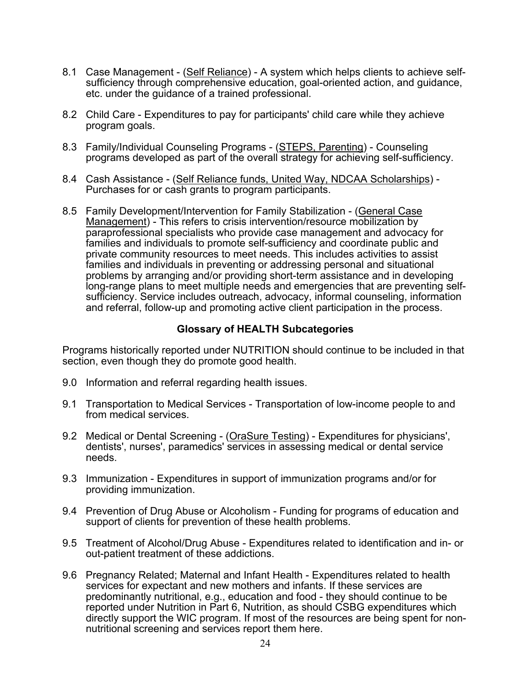- 8.1 Case Management (Self Reliance) A system which helps clients to achieve selfsufficiency through comprehensive education, goal-oriented action, and guidance, etc. under the guidance of a trained professional.
- 8.2 Child Care Expenditures to pay for participants' child care while they achieve program goals.
- 8.3 Family/Individual Counseling Programs (STEPS, Parenting) Counseling programs developed as part of the overall strategy for achieving self-sufficiency.
- 8.4 Cash Assistance (Self Reliance funds, United Way, NDCAA Scholarships) -Purchases for or cash grants to program participants.
- 8.5 Family Development/Intervention for Family Stabilization (General Case Management) - This refers to crisis intervention/resource mobilization by paraprofessional specialists who provide case management and advocacy for families and individuals to promote self-sufficiency and coordinate public and private community resources to meet needs. This includes activities to assist families and individuals in preventing or addressing personal and situational problems by arranging and/or providing short-term assistance and in developing long-range plans to meet multiple needs and emergencies that are preventing selfsufficiency. Service includes outreach, advocacy, informal counseling, information and referral, follow-up and promoting active client participation in the process.

## **Glossary of HEALTH Subcategories**

Programs historically reported under NUTRITION should continue to be included in that section, even though they do promote good health.

- 9.0 Information and referral regarding health issues.
- 9.1 Transportation to Medical Services Transportation of low-income people to and from medical services.
- 9.2 Medical or Dental Screening (OraSure Testing) Expenditures for physicians', dentists', nurses', paramedics' services in assessing medical or dental service needs.
- 9.3 Immunization Expenditures in support of immunization programs and/or for providing immunization.
- 9.4 Prevention of Drug Abuse or Alcoholism Funding for programs of education and support of clients for prevention of these health problems.
- 9.5 Treatment of Alcohol/Drug Abuse Expenditures related to identification and in- or out-patient treatment of these addictions.
- 9.6 Pregnancy Related; Maternal and Infant Health Expenditures related to health services for expectant and new mothers and infants. If these services are predominantly nutritional, e.g., education and food - they should continue to be reported under Nutrition in Part 6, Nutrition, as should CSBG expenditures which directly support the WIC program. If most of the resources are being spent for nonnutritional screening and services report them here.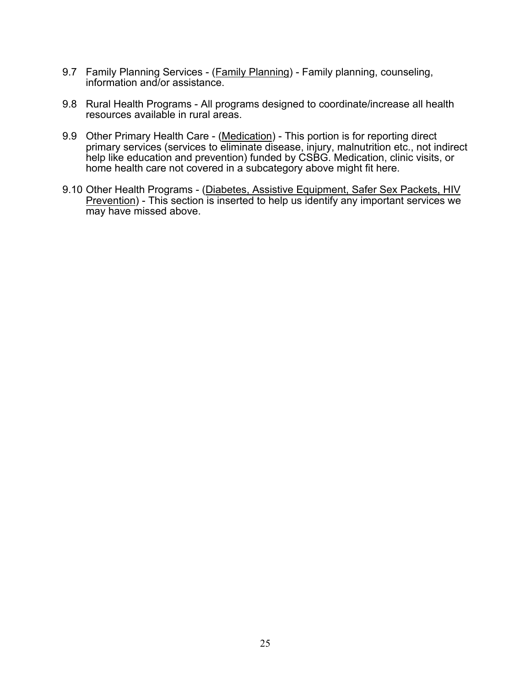- 9.7 Family Planning Services (Family Planning) Family planning, counseling, information and/or assistance.
- 9.8 Rural Health Programs All programs designed to coordinate/increase all health resources available in rural areas.
- 9.9 Other Primary Health Care (Medication) This portion is for reporting direct primary services (services to eliminate disease, injury, malnutrition etc., not indirect help like education and prevention) funded by CSBG. Medication, clinic visits, or home health care not covered in a subcategory above might fit here.
- 9.10 Other Health Programs (Diabetes, Assistive Equipment, Safer Sex Packets, HIV Prevention) - This section is inserted to help us identify any important services we may have missed above.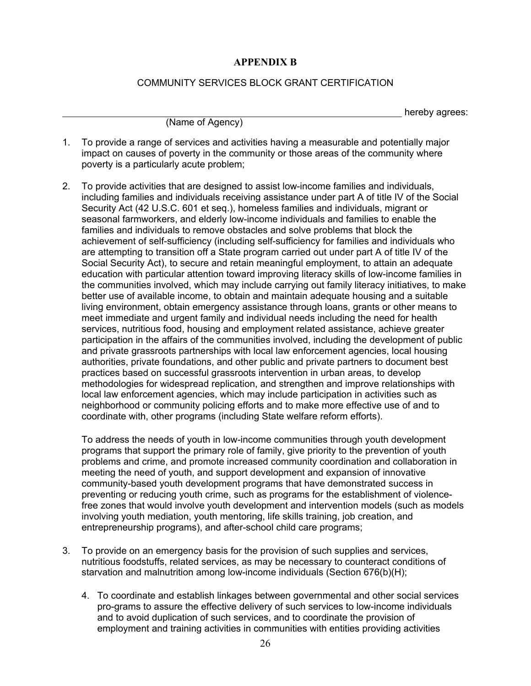## **APPENDIX B**

## COMMUNITY SERVICES BLOCK GRANT CERTIFICATION

hereby agrees:

(Name of Agency)

- 1. To provide a range of services and activities having a measurable and potentially major impact on causes of poverty in the community or those areas of the community where poverty is a particularly acute problem;
- 2. To provide activities that are designed to assist low-income families and individuals, including families and individuals receiving assistance under part A of title IV of the Social Security Act (42 U.S.C. 601 et seq.), homeless families and individuals, migrant or seasonal farmworkers, and elderly low-income individuals and families to enable the families and individuals to remove obstacles and solve problems that block the achievement of self-sufficiency (including self-sufficiency for families and individuals who are attempting to transition off a State program carried out under part A of title IV of the Social Security Act), to secure and retain meaningful employment, to attain an adequate education with particular attention toward improving literacy skills of low-income families in the communities involved, which may include carrying out family literacy initiatives, to make better use of available income, to obtain and maintain adequate housing and a suitable living environment, obtain emergency assistance through loans, grants or other means to meet immediate and urgent family and individual needs including the need for health services, nutritious food, housing and employment related assistance, achieve greater participation in the affairs of the communities involved, including the development of public and private grassroots partnerships with local law enforcement agencies, local housing authorities, private foundations, and other public and private partners to document best practices based on successful grassroots intervention in urban areas, to develop methodologies for widespread replication, and strengthen and improve relationships with local law enforcement agencies, which may include participation in activities such as neighborhood or community policing efforts and to make more effective use of and to coordinate with, other programs (including State welfare reform efforts).

To address the needs of youth in low-income communities through youth development programs that support the primary role of family, give priority to the prevention of youth problems and crime, and promote increased community coordination and collaboration in meeting the need of youth, and support development and expansion of innovative community-based youth development programs that have demonstrated success in preventing or reducing youth crime, such as programs for the establishment of violencefree zones that would involve youth development and intervention models (such as models involving youth mediation, youth mentoring, life skills training, job creation, and entrepreneurship programs), and after-school child care programs;

- 3. To provide on an emergency basis for the provision of such supplies and services, nutritious foodstuffs, related services, as may be necessary to counteract conditions of starvation and malnutrition among low-income individuals (Section 676(b)(H);
	- 4. To coordinate and establish linkages between governmental and other social services pro-grams to assure the effective delivery of such services to low-income individuals and to avoid duplication of such services, and to coordinate the provision of employment and training activities in communities with entities providing activities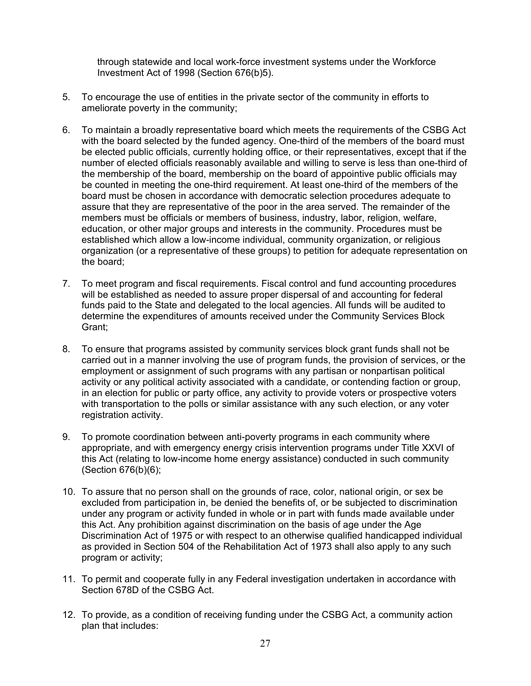through statewide and local work-force investment systems under the Workforce Investment Act of 1998 (Section 676(b)5).

- 5. To encourage the use of entities in the private sector of the community in efforts to ameliorate poverty in the community;
- 6. To maintain a broadly representative board which meets the requirements of the CSBG Act with the board selected by the funded agency. One-third of the members of the board must be elected public officials, currently holding office, or their representatives, except that if the number of elected officials reasonably available and willing to serve is less than one-third of the membership of the board, membership on the board of appointive public officials may be counted in meeting the one-third requirement. At least one-third of the members of the board must be chosen in accordance with democratic selection procedures adequate to assure that they are representative of the poor in the area served. The remainder of the members must be officials or members of business, industry, labor, religion, welfare, education, or other major groups and interests in the community. Procedures must be established which allow a low-income individual, community organization, or religious organization (or a representative of these groups) to petition for adequate representation on the board;
- 7. To meet program and fiscal requirements. Fiscal control and fund accounting procedures will be established as needed to assure proper dispersal of and accounting for federal funds paid to the State and delegated to the local agencies. All funds will be audited to determine the expenditures of amounts received under the Community Services Block Grant;
- 8. To ensure that programs assisted by community services block grant funds shall not be carried out in a manner involving the use of program funds, the provision of services, or the employment or assignment of such programs with any partisan or nonpartisan political activity or any political activity associated with a candidate, or contending faction or group, in an election for public or party office, any activity to provide voters or prospective voters with transportation to the polls or similar assistance with any such election, or any voter registration activity.
- 9. To promote coordination between anti-poverty programs in each community where appropriate, and with emergency energy crisis intervention programs under Title XXVI of this Act (relating to low-income home energy assistance) conducted in such community (Section 676(b)(6);
- 10. To assure that no person shall on the grounds of race, color, national origin, or sex be excluded from participation in, be denied the benefits of, or be subjected to discrimination under any program or activity funded in whole or in part with funds made available under this Act. Any prohibition against discrimination on the basis of age under the Age Discrimination Act of 1975 or with respect to an otherwise qualified handicapped individual as provided in Section 504 of the Rehabilitation Act of 1973 shall also apply to any such program or activity;
- 11. To permit and cooperate fully in any Federal investigation undertaken in accordance with Section 678D of the CSBG Act.
- 12. To provide, as a condition of receiving funding under the CSBG Act, a community action plan that includes: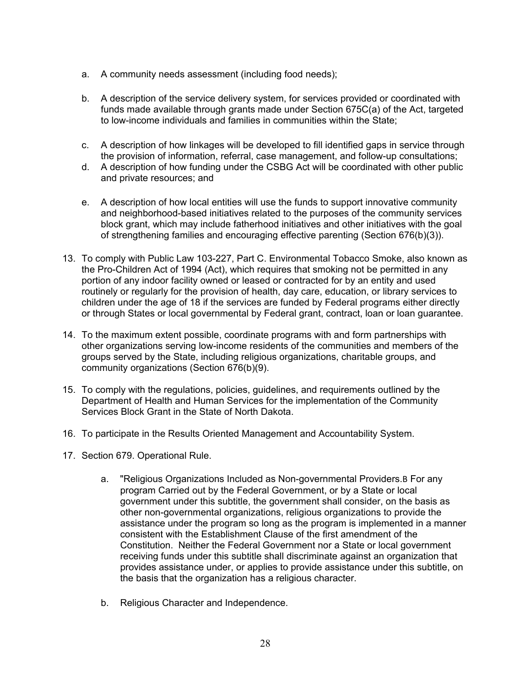- a. A community needs assessment (including food needs);
- b. A description of the service delivery system, for services provided or coordinated with funds made available through grants made under Section 675C(a) of the Act, targeted to low-income individuals and families in communities within the State;
- c. A description of how linkages will be developed to fill identified gaps in service through the provision of information, referral, case management, and follow-up consultations;
- d. A description of how funding under the CSBG Act will be coordinated with other public and private resources; and
- e. A description of how local entities will use the funds to support innovative community and neighborhood-based initiatives related to the purposes of the community services block grant, which may include fatherhood initiatives and other initiatives with the goal of strengthening families and encouraging effective parenting (Section 676(b)(3)).
- 13. To comply with Public Law 103-227, Part C. Environmental Tobacco Smoke, also known as the Pro-Children Act of 1994 (Act), which requires that smoking not be permitted in any portion of any indoor facility owned or leased or contracted for by an entity and used routinely or regularly for the provision of health, day care, education, or library services to children under the age of 18 if the services are funded by Federal programs either directly or through States or local governmental by Federal grant, contract, loan or loan guarantee.
- 14. To the maximum extent possible, coordinate programs with and form partnerships with other organizations serving low-income residents of the communities and members of the groups served by the State, including religious organizations, charitable groups, and community organizations (Section 676(b)(9).
- 15. To comply with the regulations, policies, guidelines, and requirements outlined by the Department of Health and Human Services for the implementation of the Community Services Block Grant in the State of North Dakota.
- 16. To participate in the Results Oriented Management and Accountability System.
- 17. Section 679. Operational Rule.
	- a. "Religious Organizations Included as Non-governmental Providers.B For any program Carried out by the Federal Government, or by a State or local government under this subtitle, the government shall consider, on the basis as other non-governmental organizations, religious organizations to provide the assistance under the program so long as the program is implemented in a manner consistent with the Establishment Clause of the first amendment of the Constitution. Neither the Federal Government nor a State or local government receiving funds under this subtitle shall discriminate against an organization that provides assistance under, or applies to provide assistance under this subtitle, on the basis that the organization has a religious character.
	- b. Religious Character and Independence.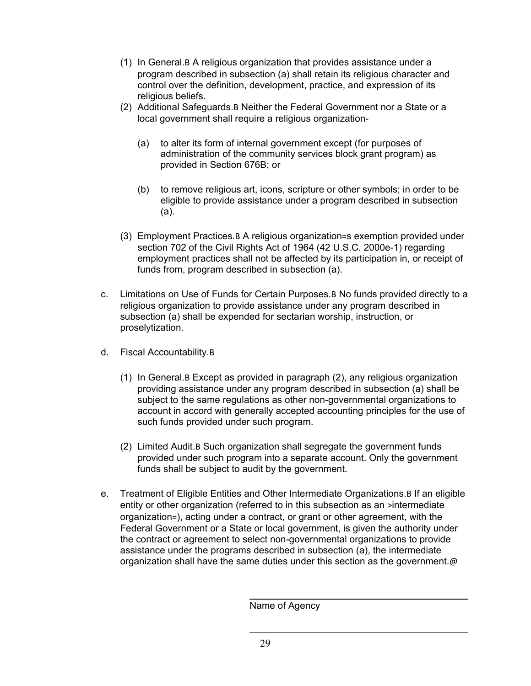- (1) In General.B A religious organization that provides assistance under a program described in subsection (a) shall retain its religious character and control over the definition, development, practice, and expression of its religious beliefs.
- (2) Additional Safeguards.B Neither the Federal Government nor a State or a local government shall require a religious organization-
	- (a) to alter its form of internal government except (for purposes of administration of the community services block grant program) as provided in Section 676B; or
	- (b) to remove religious art, icons, scripture or other symbols; in order to be eligible to provide assistance under a program described in subsection (a).
- (3) Employment Practices.B A religious organization=s exemption provided under section 702 of the Civil Rights Act of 1964 (42 U.S.C. 2000e-1) regarding employment practices shall not be affected by its participation in, or receipt of funds from, program described in subsection (a).
- c. Limitations on Use of Funds for Certain Purposes.B No funds provided directly to a religious organization to provide assistance under any program described in subsection (a) shall be expended for sectarian worship, instruction, or proselytization.
- d. Fiscal Accountability.B
	- (1) In General.B Except as provided in paragraph (2), any religious organization providing assistance under any program described in subsection (a) shall be subject to the same regulations as other non-governmental organizations to account in accord with generally accepted accounting principles for the use of such funds provided under such program.
	- (2) Limited Audit.B Such organization shall segregate the government funds provided under such program into a separate account. Only the government funds shall be subject to audit by the government.
- e. Treatment of Eligible Entities and Other Intermediate Organizations.B If an eligible entity or other organization (referred to in this subsection as an >intermediate organization=), acting under a contract, or grant or other agreement, with the Federal Government or a State or local government, is given the authority under the contract or agreement to select non-governmental organizations to provide assistance under the programs described in subsection (a), the intermediate organization shall have the same duties under this section as the government.@

 $\overline{a}$ 

 $\overline{a}$ 

Name of Agency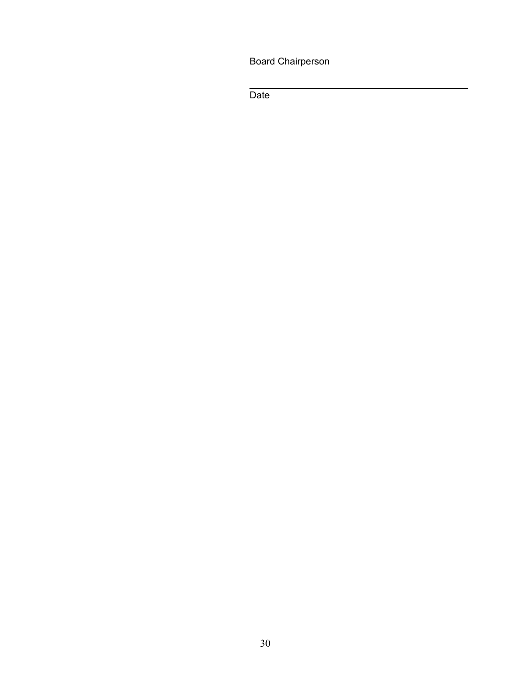Board Chairperson

Date

 $\overline{a}$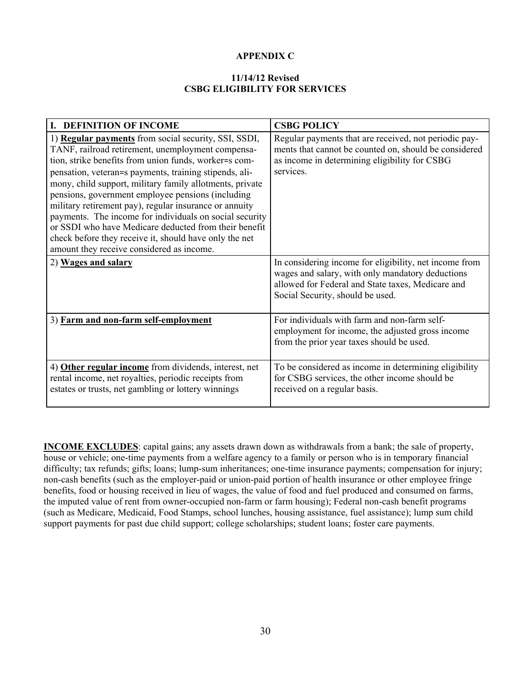## **APPENDIX C**

#### **11/14/12 Revised CSBG ELIGIBILITY FOR SERVICES**

| I. DEFINITION OF INCOME                                                                                                                                                                                                                                                                                                                                                                                                                                                                                                                                                                                                                   | <b>CSBG POLICY</b>                                                                                                                                                                                  |
|-------------------------------------------------------------------------------------------------------------------------------------------------------------------------------------------------------------------------------------------------------------------------------------------------------------------------------------------------------------------------------------------------------------------------------------------------------------------------------------------------------------------------------------------------------------------------------------------------------------------------------------------|-----------------------------------------------------------------------------------------------------------------------------------------------------------------------------------------------------|
| 1) <b>Regular payments</b> from social security, SSI, SSDI,<br>TANF, railroad retirement, unemployment compensa-<br>tion, strike benefits from union funds, worker=s com-<br>pensation, veteran=s payments, training stipends, ali-<br>mony, child support, military family allotments, private<br>pensions, government employee pensions (including<br>military retirement pay), regular insurance or annuity<br>payments. The income for individuals on social security<br>or SSDI who have Medicare deducted from their benefit<br>check before they receive it, should have only the net<br>amount they receive considered as income. | Regular payments that are received, not periodic pay-<br>ments that cannot be counted on, should be considered<br>as income in determining eligibility for CSBG<br>services.                        |
| 2) Wages and salary                                                                                                                                                                                                                                                                                                                                                                                                                                                                                                                                                                                                                       | In considering income for eligibility, net income from<br>wages and salary, with only mandatory deductions<br>allowed for Federal and State taxes, Medicare and<br>Social Security, should be used. |
| 3) Farm and non-farm self-employment                                                                                                                                                                                                                                                                                                                                                                                                                                                                                                                                                                                                      | For individuals with farm and non-farm self-<br>employment for income, the adjusted gross income<br>from the prior year taxes should be used.                                                       |
| 4) Other regular income from dividends, interest, net<br>rental income, net royalties, periodic receipts from<br>estates or trusts, net gambling or lottery winnings                                                                                                                                                                                                                                                                                                                                                                                                                                                                      | To be considered as income in determining eligibility<br>for CSBG services, the other income should be<br>received on a regular basis.                                                              |

**INCOME EXCLUDES**: capital gains; any assets drawn down as withdrawals from a bank; the sale of property, house or vehicle; one-time payments from a welfare agency to a family or person who is in temporary financial difficulty; tax refunds; gifts; loans; lump-sum inheritances; one-time insurance payments; compensation for injury; non-cash benefits (such as the employer-paid or union-paid portion of health insurance or other employee fringe benefits, food or housing received in lieu of wages, the value of food and fuel produced and consumed on farms, the imputed value of rent from owner-occupied non-farm or farm housing); Federal non-cash benefit programs (such as Medicare, Medicaid, Food Stamps, school lunches, housing assistance, fuel assistance); lump sum child support payments for past due child support; college scholarships; student loans; foster care payments.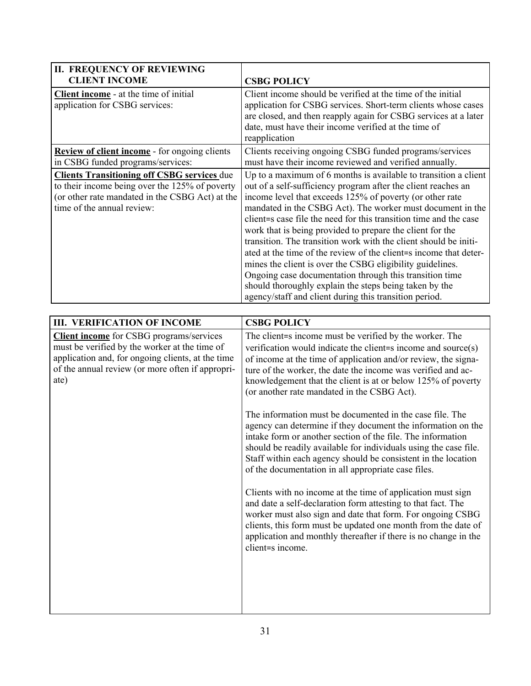| <b>II. FREQUENCY OF REVIEWING</b><br><b>CLIENT INCOME</b>                                                                                                                                                         | <b>CSBG POLICY</b>                                                                                                                                                                                                                                                                                                                                                                                                                                                                                                                                                                                                                                                                                                                                                                                                                                                                                                                                                                                                                                                                                                    |
|-------------------------------------------------------------------------------------------------------------------------------------------------------------------------------------------------------------------|-----------------------------------------------------------------------------------------------------------------------------------------------------------------------------------------------------------------------------------------------------------------------------------------------------------------------------------------------------------------------------------------------------------------------------------------------------------------------------------------------------------------------------------------------------------------------------------------------------------------------------------------------------------------------------------------------------------------------------------------------------------------------------------------------------------------------------------------------------------------------------------------------------------------------------------------------------------------------------------------------------------------------------------------------------------------------------------------------------------------------|
| <b>Client income</b> - at the time of initial<br>application for CSBG services:                                                                                                                                   | Client income should be verified at the time of the initial<br>application for CSBG services. Short-term clients whose cases<br>are closed, and then reapply again for CSBG services at a later<br>date, must have their income verified at the time of<br>reapplication                                                                                                                                                                                                                                                                                                                                                                                                                                                                                                                                                                                                                                                                                                                                                                                                                                              |
| <b>Review of client income</b> - for ongoing clients<br>in CSBG funded programs/services:                                                                                                                         | Clients receiving ongoing CSBG funded programs/services<br>must have their income reviewed and verified annually.                                                                                                                                                                                                                                                                                                                                                                                                                                                                                                                                                                                                                                                                                                                                                                                                                                                                                                                                                                                                     |
| <b>Clients Transitioning off CSBG services due</b><br>to their income being over the 125% of poverty<br>(or other rate mandated in the CSBG Act) at the<br>time of the annual review:                             | Up to a maximum of 6 months is available to transition a client<br>out of a self-sufficiency program after the client reaches an<br>income level that exceeds 125% of poverty (or other rate<br>mandated in the CSBG Act). The worker must document in the<br>client=s case file the need for this transition time and the case<br>work that is being provided to prepare the client for the<br>transition. The transition work with the client should be initi-<br>ated at the time of the review of the client=s income that deter-<br>mines the client is over the CSBG eligibility guidelines.<br>Ongoing case documentation through this transition time<br>should thoroughly explain the steps being taken by the<br>agency/staff and client during this transition period.                                                                                                                                                                                                                                                                                                                                     |
| <b>III. VERIFICATION OF INCOME</b>                                                                                                                                                                                | <b>CSBG POLICY</b>                                                                                                                                                                                                                                                                                                                                                                                                                                                                                                                                                                                                                                                                                                                                                                                                                                                                                                                                                                                                                                                                                                    |
| <b>Client income</b> for CSBG programs/services<br>must be verified by the worker at the time of<br>application and, for ongoing clients, at the time<br>of the annual review (or more often if appropri-<br>ate) | The client=s income must be verified by the worker. The<br>verification would indicate the client=s income and source(s)<br>of income at the time of application and/or review, the signa-<br>ture of the worker, the date the income was verified and ac-<br>knowledgement that the client is at or below 125% of poverty<br>(or another rate mandated in the CSBG Act).<br>The information must be documented in the case file. The<br>agency can determine if they document the information on the<br>intake form or another section of the file. The information<br>should be readily available for individuals using the case file.<br>Staff within each agency should be consistent in the location<br>of the documentation in all appropriate case files.<br>Clients with no income at the time of application must sign<br>and date a self-declaration form attesting to that fact. The<br>worker must also sign and date that form. For ongoing CSBG<br>clients, this form must be updated one month from the date of<br>application and monthly thereafter if there is no change in the<br>client=s income. |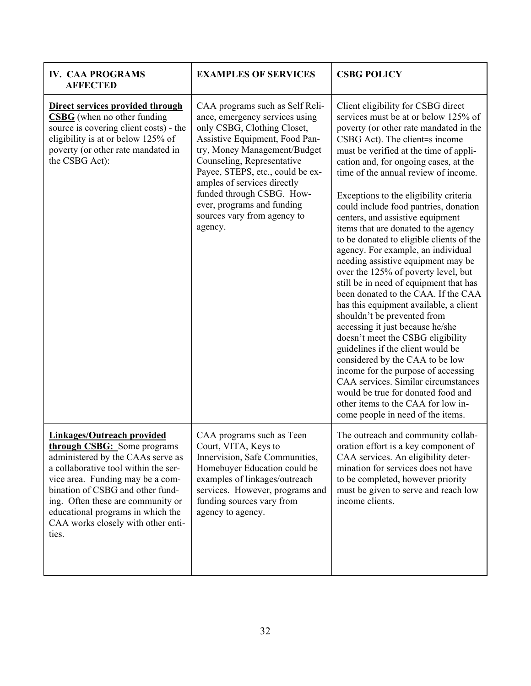| <b>IV. CAA PROGRAMS</b><br><b>AFFECTED</b>                                                                                                                                                                                                                                                                                                     | <b>EXAMPLES OF SERVICES</b>                                                                                                                                                                                                                                                                                                                                              | <b>CSBG POLICY</b>                                                                                                                                                                                                                                                                                                                                                                                                                                                                                                                                                                                                                                                                                                                                                                                                                                                                                                                                                                                                                                                                                                        |
|------------------------------------------------------------------------------------------------------------------------------------------------------------------------------------------------------------------------------------------------------------------------------------------------------------------------------------------------|--------------------------------------------------------------------------------------------------------------------------------------------------------------------------------------------------------------------------------------------------------------------------------------------------------------------------------------------------------------------------|---------------------------------------------------------------------------------------------------------------------------------------------------------------------------------------------------------------------------------------------------------------------------------------------------------------------------------------------------------------------------------------------------------------------------------------------------------------------------------------------------------------------------------------------------------------------------------------------------------------------------------------------------------------------------------------------------------------------------------------------------------------------------------------------------------------------------------------------------------------------------------------------------------------------------------------------------------------------------------------------------------------------------------------------------------------------------------------------------------------------------|
| Direct services provided through<br><b>CSBG</b> (when no other funding<br>source is covering client costs) - the<br>eligibility is at or below 125% of<br>poverty (or other rate mandated in<br>the CSBG Act):                                                                                                                                 | CAA programs such as Self Reli-<br>ance, emergency services using<br>only CSBG, Clothing Closet,<br>Assistive Equipment, Food Pan-<br>try, Money Management/Budget<br>Counseling, Representative<br>Payee, STEPS, etc., could be ex-<br>amples of services directly<br>funded through CSBG. How-<br>ever, programs and funding<br>sources vary from agency to<br>agency. | Client eligibility for CSBG direct<br>services must be at or below 125% of<br>poverty (or other rate mandated in the<br>CSBG Act). The client=s income<br>must be verified at the time of appli-<br>cation and, for ongoing cases, at the<br>time of the annual review of income.<br>Exceptions to the eligibility criteria<br>could include food pantries, donation<br>centers, and assistive equipment<br>items that are donated to the agency<br>to be donated to eligible clients of the<br>agency. For example, an individual<br>needing assistive equipment may be<br>over the 125% of poverty level, but<br>still be in need of equipment that has<br>been donated to the CAA. If the CAA<br>has this equipment available, a client<br>shouldn't be prevented from<br>accessing it just because he/she<br>doesn't meet the CSBG eligibility<br>guidelines if the client would be<br>considered by the CAA to be low<br>income for the purpose of accessing<br>CAA services. Similar circumstances<br>would be true for donated food and<br>other items to the CAA for low in-<br>come people in need of the items. |
| <b>Linkages/Outreach provided</b><br>through CSBG: Some programs<br>administered by the CAAs serve as<br>a collaborative tool within the ser-<br>vice area. Funding may be a com-<br>bination of CSBG and other fund-<br>ing. Often these are community or<br>educational programs in which the<br>CAA works closely with other enti-<br>ties. | CAA programs such as Teen<br>Court, VITA, Keys to<br>Innervision, Safe Communities,<br>Homebuyer Education could be<br>examples of linkages/outreach<br>services. However, programs and<br>funding sources vary from<br>agency to agency.                                                                                                                                | The outreach and community collab-<br>oration effort is a key component of<br>CAA services. An eligibility deter-<br>mination for services does not have<br>to be completed, however priority<br>must be given to serve and reach low<br>income clients.                                                                                                                                                                                                                                                                                                                                                                                                                                                                                                                                                                                                                                                                                                                                                                                                                                                                  |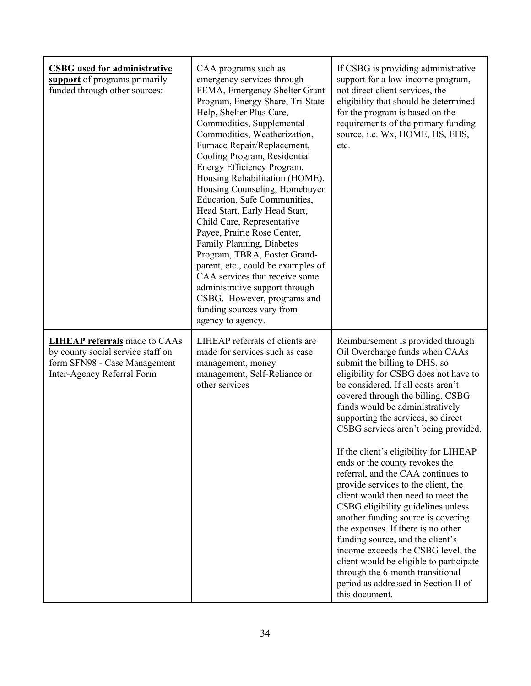| <b>CSBG</b> used for administrative<br>support of programs primarily<br>funded through other sources:                                   | CAA programs such as<br>emergency services through<br>FEMA, Emergency Shelter Grant<br>Program, Energy Share, Tri-State<br>Help, Shelter Plus Care,<br>Commodities, Supplemental<br>Commodities, Weatherization,<br>Furnace Repair/Replacement,<br>Cooling Program, Residential<br>Energy Efficiency Program,<br>Housing Rehabilitation (HOME),<br>Housing Counseling, Homebuyer<br>Education, Safe Communities,<br>Head Start, Early Head Start,<br>Child Care, Representative<br>Payee, Prairie Rose Center,<br>Family Planning, Diabetes<br>Program, TBRA, Foster Grand-<br>parent, etc., could be examples of<br>CAA services that receive some<br>administrative support through<br>CSBG. However, programs and<br>funding sources vary from<br>agency to agency. | If CSBG is providing administrative<br>support for a low-income program,<br>not direct client services, the<br>eligibility that should be determined<br>for the program is based on the<br>requirements of the primary funding<br>source, i.e. Wx, HOME, HS, EHS,<br>etc.                                                                                                                                                                                                                                                                                                                                                                                                                                                                                                                                                                                                     |
|-----------------------------------------------------------------------------------------------------------------------------------------|------------------------------------------------------------------------------------------------------------------------------------------------------------------------------------------------------------------------------------------------------------------------------------------------------------------------------------------------------------------------------------------------------------------------------------------------------------------------------------------------------------------------------------------------------------------------------------------------------------------------------------------------------------------------------------------------------------------------------------------------------------------------|-------------------------------------------------------------------------------------------------------------------------------------------------------------------------------------------------------------------------------------------------------------------------------------------------------------------------------------------------------------------------------------------------------------------------------------------------------------------------------------------------------------------------------------------------------------------------------------------------------------------------------------------------------------------------------------------------------------------------------------------------------------------------------------------------------------------------------------------------------------------------------|
| <b>LIHEAP referrals</b> made to CAAs<br>by county social service staff on<br>form SFN98 - Case Management<br>Inter-Agency Referral Form | LIHEAP referrals of clients are<br>made for services such as case<br>management, money<br>management, Self-Reliance or<br>other services                                                                                                                                                                                                                                                                                                                                                                                                                                                                                                                                                                                                                               | Reimbursement is provided through<br>Oil Overcharge funds when CAAs<br>submit the billing to DHS, so<br>eligibility for CSBG does not have to<br>be considered. If all costs aren't<br>covered through the billing, CSBG<br>funds would be administratively<br>supporting the services, so direct<br>CSBG services aren't being provided.<br>If the client's eligibility for LIHEAP<br>ends or the county revokes the<br>referral, and the CAA continues to<br>provide services to the client, the<br>client would then need to meet the<br>CSBG eligibility guidelines unless<br>another funding source is covering<br>the expenses. If there is no other<br>funding source, and the client's<br>income exceeds the CSBG level, the<br>client would be eligible to participate<br>through the 6-month transitional<br>period as addressed in Section II of<br>this document. |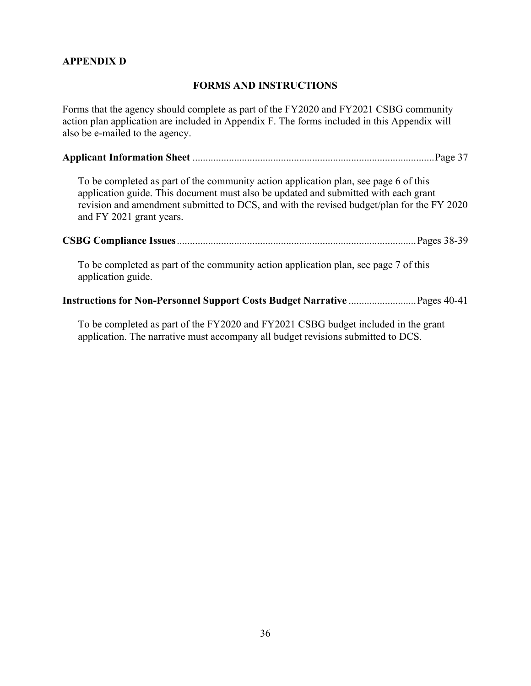## **APPENDIX D**

## **FORMS AND INSTRUCTIONS**

Forms that the agency should complete as part of the FY2020 and FY2021 CSBG community action plan application are included in Appendix F. The forms included in this Appendix will also be e-mailed to the agency.

| To be completed as part of the community action application plan, see page 6 of this<br>application guide. This document must also be updated and submitted with each grant<br>revision and amendment submitted to DCS, and with the revised budget/plan for the FY 2020<br>and FY 2021 grant years. |
|------------------------------------------------------------------------------------------------------------------------------------------------------------------------------------------------------------------------------------------------------------------------------------------------------|
|                                                                                                                                                                                                                                                                                                      |
| To be completed as part of the community action application plan, see page 7 of this<br>application guide.                                                                                                                                                                                           |
| <b>Instructions for Non-Personnel Support Costs Budget Narrative  Pages 40-41</b>                                                                                                                                                                                                                    |

 To be completed as part of the FY2020 and FY2021 CSBG budget included in the grant application. The narrative must accompany all budget revisions submitted to DCS.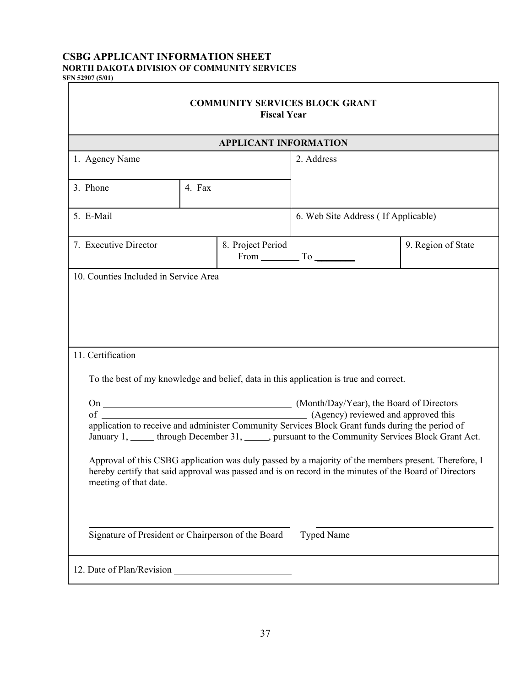## **CSBG APPLICANT INFORMATION SHEET NORTH DAKOTA DIVISION OF COMMUNITY SERVICES SFN 52907 (5/01)**

|                                                                                       |        | <b>APPLICANT INFORMATION</b> |                                     |                                                                                                                                                                                                                                                                                                                    |
|---------------------------------------------------------------------------------------|--------|------------------------------|-------------------------------------|--------------------------------------------------------------------------------------------------------------------------------------------------------------------------------------------------------------------------------------------------------------------------------------------------------------------|
| 1. Agency Name                                                                        |        |                              | 2. Address                          |                                                                                                                                                                                                                                                                                                                    |
| 3. Phone                                                                              | 4. Fax |                              |                                     |                                                                                                                                                                                                                                                                                                                    |
| 5. E-Mail                                                                             |        |                              | 6. Web Site Address (If Applicable) |                                                                                                                                                                                                                                                                                                                    |
| 7. Executive Director                                                                 |        | 8. Project Period            | $From \_\_ To \_\_$                 | 9. Region of State                                                                                                                                                                                                                                                                                                 |
| 10. Counties Included in Service Area                                                 |        |                              |                                     |                                                                                                                                                                                                                                                                                                                    |
|                                                                                       |        |                              |                                     |                                                                                                                                                                                                                                                                                                                    |
| To the best of my knowledge and belief, data in this application is true and correct. |        |                              |                                     | of (Agency) reviewed and approved this<br>application to receive and administer Community Services Block Grant funds during the period of                                                                                                                                                                          |
| 11. Certification<br>meeting of that date.                                            |        |                              |                                     | January 1, _____ through December 31, _____, pursuant to the Community Services Block Grant Act.<br>Approval of this CSBG application was duly passed by a majority of the members present. Therefore, I<br>hereby certify that said approval was passed and is on record in the minutes of the Board of Directors |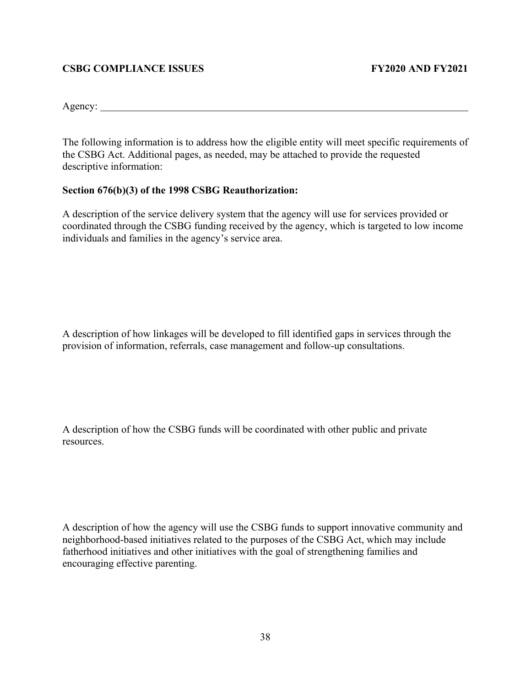## **CSBG COMPLIANCE ISSUES FY2020 AND FY2021**

Agency:

The following information is to address how the eligible entity will meet specific requirements of the CSBG Act. Additional pages, as needed, may be attached to provide the requested descriptive information:

## **Section 676(b)(3) of the 1998 CSBG Reauthorization:**

A description of the service delivery system that the agency will use for services provided or coordinated through the CSBG funding received by the agency, which is targeted to low income individuals and families in the agency's service area.

A description of how linkages will be developed to fill identified gaps in services through the provision of information, referrals, case management and follow-up consultations.

A description of how the CSBG funds will be coordinated with other public and private resources.

A description of how the agency will use the CSBG funds to support innovative community and neighborhood-based initiatives related to the purposes of the CSBG Act, which may include fatherhood initiatives and other initiatives with the goal of strengthening families and encouraging effective parenting.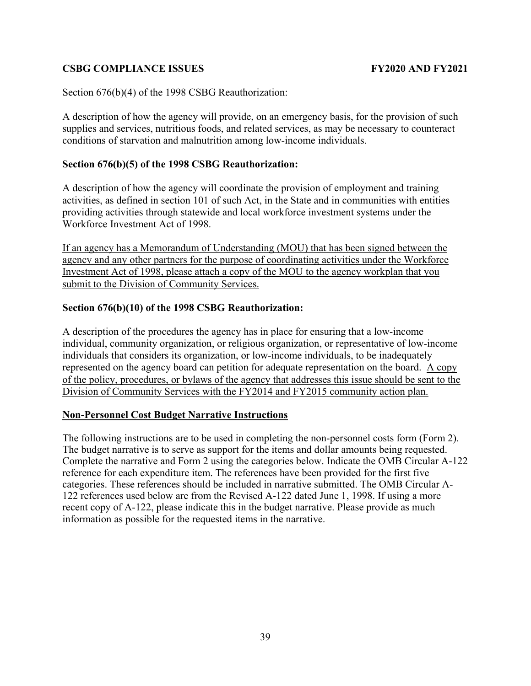## **CSBG COMPLIANCE ISSUES FY2020 AND FY2021**

Section  $676(b)(4)$  of the 1998 CSBG Reauthorization:

A description of how the agency will provide, on an emergency basis, for the provision of such supplies and services, nutritious foods, and related services, as may be necessary to counteract conditions of starvation and malnutrition among low-income individuals.

## **Section 676(b)(5) of the 1998 CSBG Reauthorization:**

A description of how the agency will coordinate the provision of employment and training activities, as defined in section 101 of such Act, in the State and in communities with entities providing activities through statewide and local workforce investment systems under the Workforce Investment Act of 1998.

If an agency has a Memorandum of Understanding (MOU) that has been signed between the agency and any other partners for the purpose of coordinating activities under the Workforce Investment Act of 1998, please attach a copy of the MOU to the agency workplan that you submit to the Division of Community Services.

## **Section 676(b)(10) of the 1998 CSBG Reauthorization:**

A description of the procedures the agency has in place for ensuring that a low-income individual, community organization, or religious organization, or representative of low-income individuals that considers its organization, or low-income individuals, to be inadequately represented on the agency board can petition for adequate representation on the board. A copy of the policy, procedures, or bylaws of the agency that addresses this issue should be sent to the Division of Community Services with the FY2014 and FY2015 community action plan.

## **Non-Personnel Cost Budget Narrative Instructions**

The following instructions are to be used in completing the non-personnel costs form (Form 2). The budget narrative is to serve as support for the items and dollar amounts being requested. Complete the narrative and Form 2 using the categories below. Indicate the OMB Circular A-122 reference for each expenditure item. The references have been provided for the first five categories. These references should be included in narrative submitted. The OMB Circular A-122 references used below are from the Revised A-122 dated June 1, 1998. If using a more recent copy of A-122, please indicate this in the budget narrative. Please provide as much information as possible for the requested items in the narrative.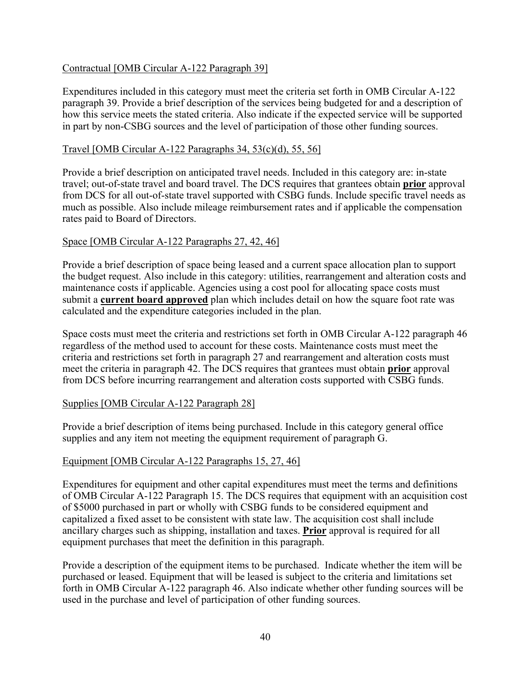## Contractual [OMB Circular A-122 Paragraph 39]

Expenditures included in this category must meet the criteria set forth in OMB Circular A-122 paragraph 39. Provide a brief description of the services being budgeted for and a description of how this service meets the stated criteria. Also indicate if the expected service will be supported in part by non-CSBG sources and the level of participation of those other funding sources.

## Travel [OMB Circular A-122 Paragraphs 34, 53(c)(d), 55, 56]

Provide a brief description on anticipated travel needs. Included in this category are: in-state travel; out-of-state travel and board travel. The DCS requires that grantees obtain **prior** approval from DCS for all out-of-state travel supported with CSBG funds. Include specific travel needs as much as possible. Also include mileage reimbursement rates and if applicable the compensation rates paid to Board of Directors.

## Space [OMB Circular A-122 Paragraphs 27, 42, 46]

Provide a brief description of space being leased and a current space allocation plan to support the budget request. Also include in this category: utilities, rearrangement and alteration costs and maintenance costs if applicable. Agencies using a cost pool for allocating space costs must submit a **current board approved** plan which includes detail on how the square foot rate was calculated and the expenditure categories included in the plan.

Space costs must meet the criteria and restrictions set forth in OMB Circular A-122 paragraph 46 regardless of the method used to account for these costs. Maintenance costs must meet the criteria and restrictions set forth in paragraph 27 and rearrangement and alteration costs must meet the criteria in paragraph 42. The DCS requires that grantees must obtain **prior** approval from DCS before incurring rearrangement and alteration costs supported with CSBG funds.

#### Supplies [OMB Circular A-122 Paragraph 28]

Provide a brief description of items being purchased. Include in this category general office supplies and any item not meeting the equipment requirement of paragraph G.

#### Equipment [OMB Circular A-122 Paragraphs 15, 27, 46]

Expenditures for equipment and other capital expenditures must meet the terms and definitions of OMB Circular A-122 Paragraph 15. The DCS requires that equipment with an acquisition cost of \$5000 purchased in part or wholly with CSBG funds to be considered equipment and capitalized a fixed asset to be consistent with state law. The acquisition cost shall include ancillary charges such as shipping, installation and taxes. **Prior** approval is required for all equipment purchases that meet the definition in this paragraph.

Provide a description of the equipment items to be purchased. Indicate whether the item will be purchased or leased. Equipment that will be leased is subject to the criteria and limitations set forth in OMB Circular A-122 paragraph 46. Also indicate whether other funding sources will be used in the purchase and level of participation of other funding sources.